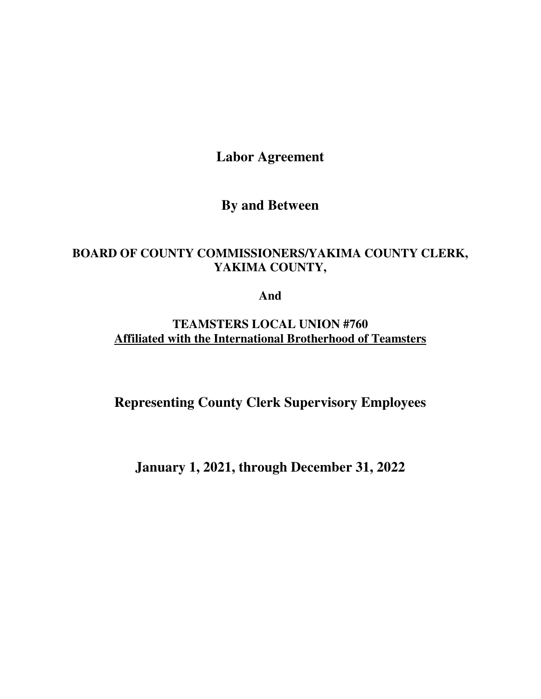**Labor Agreement** 

# **By and Between**

# **BOARD OF COUNTY COMMISSIONERS/YAKIMA COUNTY CLERK, YAKIMA COUNTY,**

**And** 

**TEAMSTERS LOCAL UNION #760 Affiliated with the International Brotherhood of Teamsters** 

**Representing County Clerk Supervisory Employees** 

**January 1, 2021, through December 31, 2022**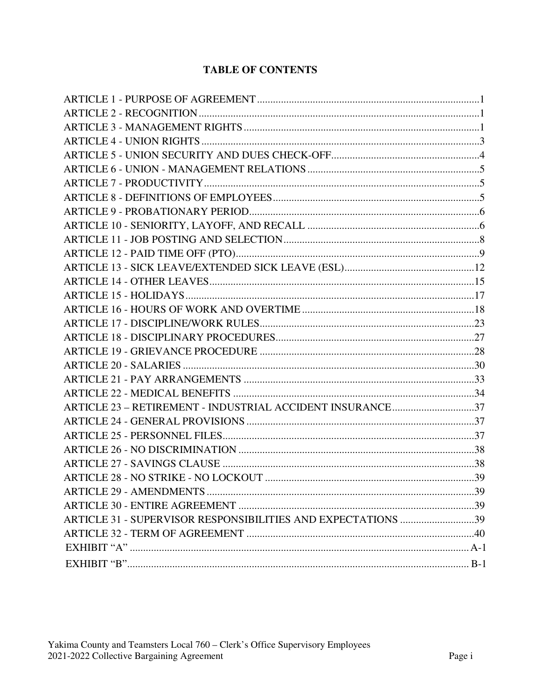# **TABLE OF CONTENTS**

| ARTICLE 23 - RETIREMENT - INDUSTRIAL ACCIDENT INSURANCE37    |  |
|--------------------------------------------------------------|--|
|                                                              |  |
|                                                              |  |
|                                                              |  |
|                                                              |  |
|                                                              |  |
|                                                              |  |
|                                                              |  |
| ARTICLE 31 - SUPERVISOR RESPONSIBILITIES AND EXPECTATIONS 39 |  |
|                                                              |  |
|                                                              |  |
|                                                              |  |
|                                                              |  |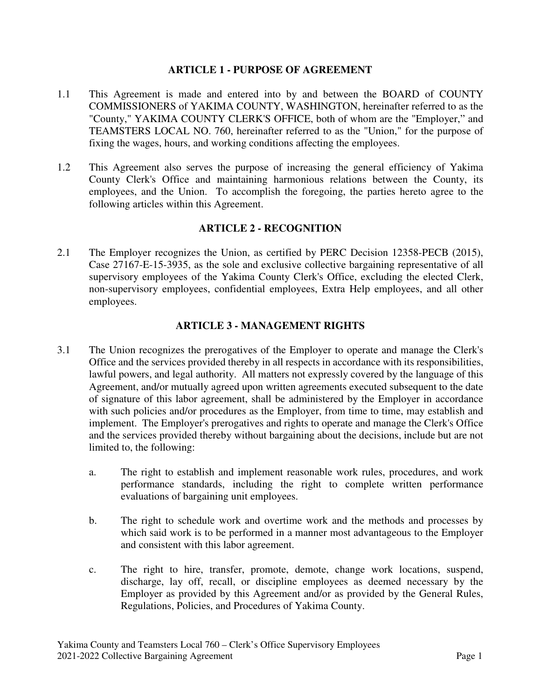#### **ARTICLE 1 - PURPOSE OF AGREEMENT**

- 1.1 This Agreement is made and entered into by and between the BOARD of COUNTY COMMISSIONERS of YAKIMA COUNTY, WASHINGTON, hereinafter referred to as the "County," YAKIMA COUNTY CLERK'S OFFICE, both of whom are the "Employer," and TEAMSTERS LOCAL NO. 760, hereinafter referred to as the "Union," for the purpose of fixing the wages, hours, and working conditions affecting the employees.
- 1.2 This Agreement also serves the purpose of increasing the general efficiency of Yakima County Clerk's Office and maintaining harmonious relations between the County, its employees, and the Union. To accomplish the foregoing, the parties hereto agree to the following articles within this Agreement.

## **ARTICLE 2 - RECOGNITION**

2.1 The Employer recognizes the Union, as certified by PERC Decision 12358-PECB (2015), Case 27167-E-15-3935, as the sole and exclusive collective bargaining representative of all supervisory employees of the Yakima County Clerk's Office, excluding the elected Clerk, non-supervisory employees, confidential employees, Extra Help employees, and all other employees.

#### **ARTICLE 3 - MANAGEMENT RIGHTS**

- 3.1 The Union recognizes the prerogatives of the Employer to operate and manage the Clerk's Office and the services provided thereby in all respects in accordance with its responsibilities, lawful powers, and legal authority. All matters not expressly covered by the language of this Agreement, and/or mutually agreed upon written agreements executed subsequent to the date of signature of this labor agreement, shall be administered by the Employer in accordance with such policies and/or procedures as the Employer, from time to time, may establish and implement. The Employer's prerogatives and rights to operate and manage the Clerk's Office and the services provided thereby without bargaining about the decisions, include but are not limited to, the following:
	- a. The right to establish and implement reasonable work rules, procedures, and work performance standards, including the right to complete written performance evaluations of bargaining unit employees.
	- b. The right to schedule work and overtime work and the methods and processes by which said work is to be performed in a manner most advantageous to the Employer and consistent with this labor agreement.
	- c. The right to hire, transfer, promote, demote, change work locations, suspend, discharge, lay off, recall, or discipline employees as deemed necessary by the Employer as provided by this Agreement and/or as provided by the General Rules, Regulations, Policies, and Procedures of Yakima County.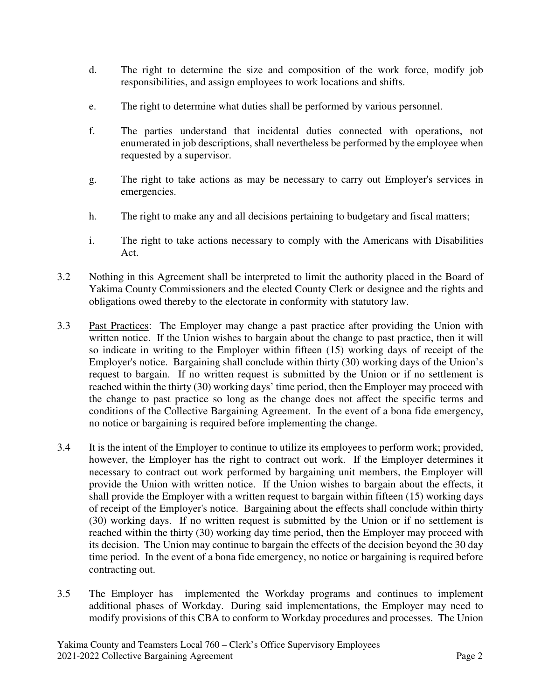- d. The right to determine the size and composition of the work force, modify job responsibilities, and assign employees to work locations and shifts.
- e. The right to determine what duties shall be performed by various personnel.
- f. The parties understand that incidental duties connected with operations, not enumerated in job descriptions, shall nevertheless be performed by the employee when requested by a supervisor.
- g. The right to take actions as may be necessary to carry out Employer's services in emergencies.
- h. The right to make any and all decisions pertaining to budgetary and fiscal matters;
- i. The right to take actions necessary to comply with the Americans with Disabilities Act.
- 3.2 Nothing in this Agreement shall be interpreted to limit the authority placed in the Board of Yakima County Commissioners and the elected County Clerk or designee and the rights and obligations owed thereby to the electorate in conformity with statutory law.
- 3.3 Past Practices: The Employer may change a past practice after providing the Union with written notice. If the Union wishes to bargain about the change to past practice, then it will so indicate in writing to the Employer within fifteen (15) working days of receipt of the Employer's notice. Bargaining shall conclude within thirty (30) working days of the Union's request to bargain. If no written request is submitted by the Union or if no settlement is reached within the thirty (30) working days' time period, then the Employer may proceed with the change to past practice so long as the change does not affect the specific terms and conditions of the Collective Bargaining Agreement. In the event of a bona fide emergency, no notice or bargaining is required before implementing the change.
- 3.4 It is the intent of the Employer to continue to utilize its employees to perform work; provided, however, the Employer has the right to contract out work. If the Employer determines it necessary to contract out work performed by bargaining unit members, the Employer will provide the Union with written notice. If the Union wishes to bargain about the effects, it shall provide the Employer with a written request to bargain within fifteen (15) working days of receipt of the Employer's notice. Bargaining about the effects shall conclude within thirty (30) working days. If no written request is submitted by the Union or if no settlement is reached within the thirty (30) working day time period, then the Employer may proceed with its decision. The Union may continue to bargain the effects of the decision beyond the 30 day time period. In the event of a bona fide emergency, no notice or bargaining is required before contracting out.
- 3.5 The Employer has implemented the Workday programs and continues to implement additional phases of Workday. During said implementations, the Employer may need to modify provisions of this CBA to conform to Workday procedures and processes. The Union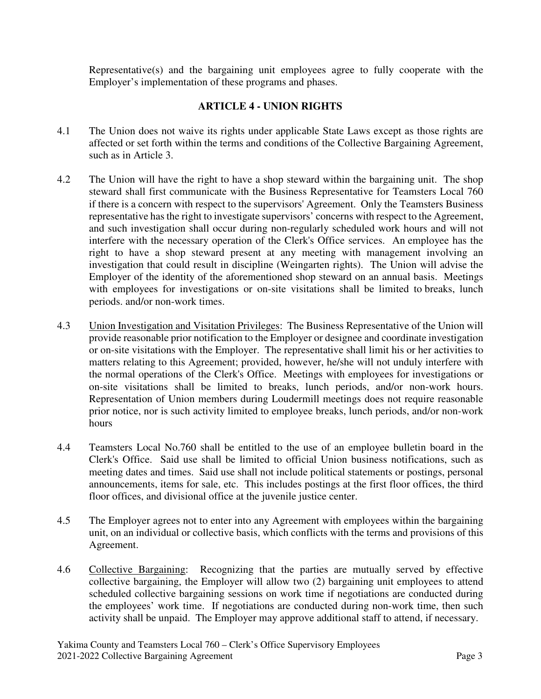Representative(s) and the bargaining unit employees agree to fully cooperate with the Employer's implementation of these programs and phases.

## **ARTICLE 4 - UNION RIGHTS**

- 4.1 The Union does not waive its rights under applicable State Laws except as those rights are affected or set forth within the terms and conditions of the Collective Bargaining Agreement, such as in Article 3.
- 4.2 The Union will have the right to have a shop steward within the bargaining unit. The shop steward shall first communicate with the Business Representative for Teamsters Local 760 if there is a concern with respect to the supervisors' Agreement. Only the Teamsters Business representative has the right to investigate supervisors' concerns with respect to the Agreement, and such investigation shall occur during non-regularly scheduled work hours and will not interfere with the necessary operation of the Clerk's Office services. An employee has the right to have a shop steward present at any meeting with management involving an investigation that could result in discipline (Weingarten rights). The Union will advise the Employer of the identity of the aforementioned shop steward on an annual basis. Meetings with employees for investigations or on-site visitations shall be limited to breaks, lunch periods. and/or non-work times.
- 4.3 Union Investigation and Visitation Privileges: The Business Representative of the Union will provide reasonable prior notification to the Employer or designee and coordinate investigation or on-site visitations with the Employer. The representative shall limit his or her activities to matters relating to this Agreement; provided, however, he/she will not unduly interfere with the normal operations of the Clerk's Office. Meetings with employees for investigations or on-site visitations shall be limited to breaks, lunch periods, and/or non-work hours. Representation of Union members during Loudermill meetings does not require reasonable prior notice, nor is such activity limited to employee breaks, lunch periods, and/or non-work hours
- 4.4 Teamsters Local No.760 shall be entitled to the use of an employee bulletin board in the Clerk's Office. Said use shall be limited to official Union business notifications, such as meeting dates and times. Said use shall not include political statements or postings, personal announcements, items for sale, etc. This includes postings at the first floor offices, the third floor offices, and divisional office at the juvenile justice center.
- 4.5 The Employer agrees not to enter into any Agreement with employees within the bargaining unit, on an individual or collective basis, which conflicts with the terms and provisions of this Agreement.
- 4.6 Collective Bargaining: Recognizing that the parties are mutually served by effective collective bargaining, the Employer will allow two (2) bargaining unit employees to attend scheduled collective bargaining sessions on work time if negotiations are conducted during the employees' work time. If negotiations are conducted during non-work time, then such activity shall be unpaid. The Employer may approve additional staff to attend, if necessary.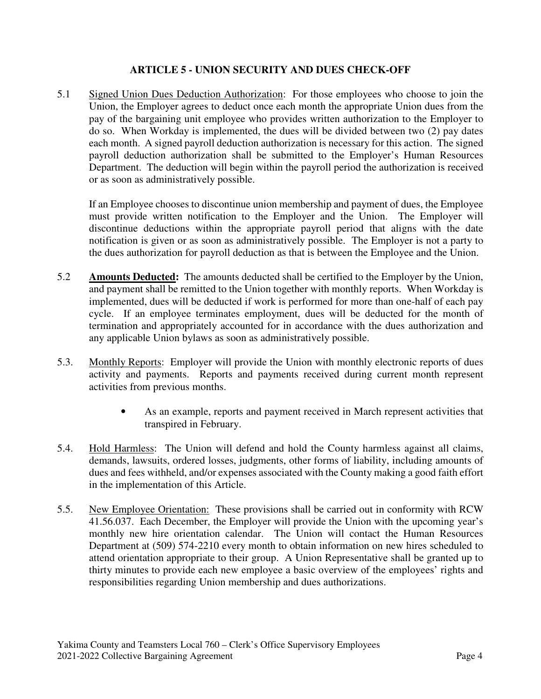## **ARTICLE 5 - UNION SECURITY AND DUES CHECK-OFF**

5.1 Signed Union Dues Deduction Authorization: For those employees who choose to join the Union, the Employer agrees to deduct once each month the appropriate Union dues from the pay of the bargaining unit employee who provides written authorization to the Employer to do so. When Workday is implemented, the dues will be divided between two (2) pay dates each month. A signed payroll deduction authorization is necessary for this action. The signed payroll deduction authorization shall be submitted to the Employer's Human Resources Department. The deduction will begin within the payroll period the authorization is received or as soon as administratively possible.

If an Employee chooses to discontinue union membership and payment of dues, the Employee must provide written notification to the Employer and the Union. The Employer will discontinue deductions within the appropriate payroll period that aligns with the date notification is given or as soon as administratively possible. The Employer is not a party to the dues authorization for payroll deduction as that is between the Employee and the Union.

- 5.2 **Amounts Deducted:** The amounts deducted shall be certified to the Employer by the Union, and payment shall be remitted to the Union together with monthly reports. When Workday is implemented, dues will be deducted if work is performed for more than one-half of each pay cycle. If an employee terminates employment, dues will be deducted for the month of termination and appropriately accounted for in accordance with the dues authorization and any applicable Union bylaws as soon as administratively possible.
- 5.3. Monthly Reports: Employer will provide the Union with monthly electronic reports of dues activity and payments. Reports and payments received during current month represent activities from previous months.
	- As an example, reports and payment received in March represent activities that transpired in February.
- 5.4. Hold Harmless: The Union will defend and hold the County harmless against all claims, demands, lawsuits, ordered losses, judgments, other forms of liability, including amounts of dues and fees withheld, and/or expenses associated with the County making a good faith effort in the implementation of this Article.
- 5.5. New Employee Orientation: These provisions shall be carried out in conformity with RCW 41.56.037. Each December, the Employer will provide the Union with the upcoming year's monthly new hire orientation calendar. The Union will contact the Human Resources Department at (509) 574-2210 every month to obtain information on new hires scheduled to attend orientation appropriate to their group. A Union Representative shall be granted up to thirty minutes to provide each new employee a basic overview of the employees' rights and responsibilities regarding Union membership and dues authorizations.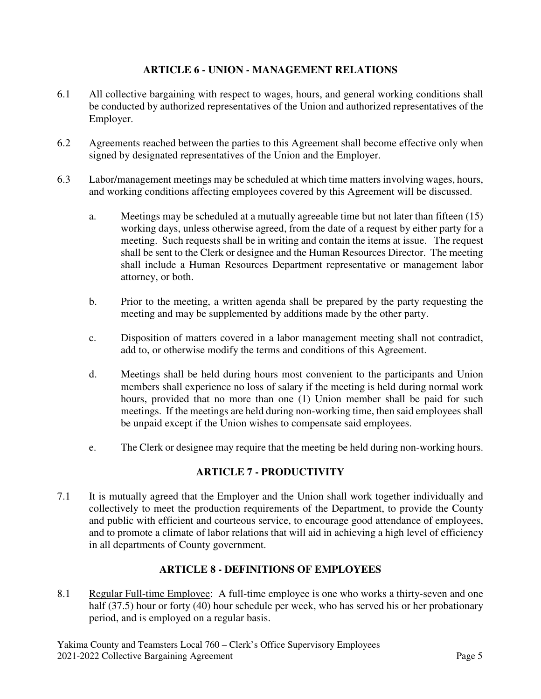## **ARTICLE 6 - UNION - MANAGEMENT RELATIONS**

- 6.1 All collective bargaining with respect to wages, hours, and general working conditions shall be conducted by authorized representatives of the Union and authorized representatives of the Employer.
- 6.2 Agreements reached between the parties to this Agreement shall become effective only when signed by designated representatives of the Union and the Employer.
- 6.3 Labor/management meetings may be scheduled at which time matters involving wages, hours, and working conditions affecting employees covered by this Agreement will be discussed.
	- a. Meetings may be scheduled at a mutually agreeable time but not later than fifteen (15) working days, unless otherwise agreed, from the date of a request by either party for a meeting. Such requests shall be in writing and contain the items at issue. The request shall be sent to the Clerk or designee and the Human Resources Director. The meeting shall include a Human Resources Department representative or management labor attorney, or both.
	- b. Prior to the meeting, a written agenda shall be prepared by the party requesting the meeting and may be supplemented by additions made by the other party.
	- c. Disposition of matters covered in a labor management meeting shall not contradict, add to, or otherwise modify the terms and conditions of this Agreement.
	- d. Meetings shall be held during hours most convenient to the participants and Union members shall experience no loss of salary if the meeting is held during normal work hours, provided that no more than one (1) Union member shall be paid for such meetings. If the meetings are held during non-working time, then said employees shall be unpaid except if the Union wishes to compensate said employees.
	- e. The Clerk or designee may require that the meeting be held during non-working hours.

## **ARTICLE 7 - PRODUCTIVITY**

7.1 It is mutually agreed that the Employer and the Union shall work together individually and collectively to meet the production requirements of the Department, to provide the County and public with efficient and courteous service, to encourage good attendance of employees, and to promote a climate of labor relations that will aid in achieving a high level of efficiency in all departments of County government.

## **ARTICLE 8 - DEFINITIONS OF EMPLOYEES**

8.1 Regular Full-time Employee: A full-time employee is one who works a thirty-seven and one half (37.5) hour or forty (40) hour schedule per week, who has served his or her probationary period, and is employed on a regular basis.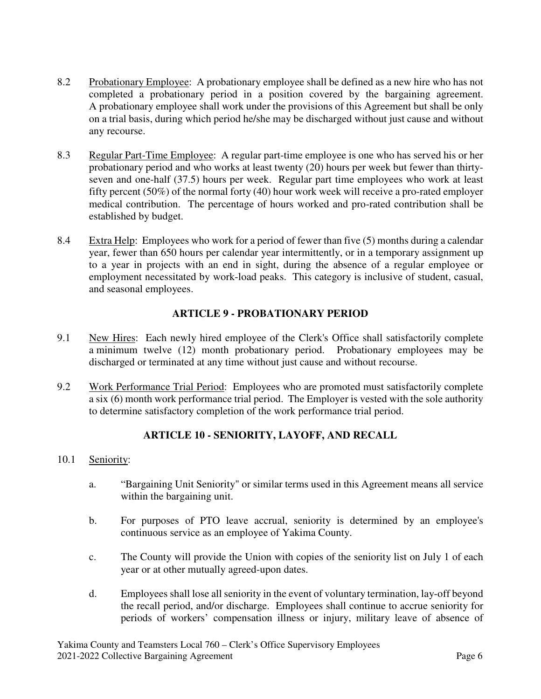- 8.2 Probationary Employee: A probationary employee shall be defined as a new hire who has not completed a probationary period in a position covered by the bargaining agreement. A probationary employee shall work under the provisions of this Agreement but shall be only on a trial basis, during which period he/she may be discharged without just cause and without any recourse.
- 8.3 Regular Part-Time Employee: A regular part-time employee is one who has served his or her probationary period and who works at least twenty (20) hours per week but fewer than thirtyseven and one-half (37.5) hours per week. Regular part time employees who work at least fifty percent (50%) of the normal forty (40) hour work week will receive a pro-rated employer medical contribution. The percentage of hours worked and pro-rated contribution shall be established by budget.
- 8.4 Extra Help: Employees who work for a period of fewer than five (5) months during a calendar year, fewer than 650 hours per calendar year intermittently, or in a temporary assignment up to a year in projects with an end in sight, during the absence of a regular employee or employment necessitated by work-load peaks. This category is inclusive of student, casual, and seasonal employees.

# **ARTICLE 9 - PROBATIONARY PERIOD**

- 9.1 New Hires: Each newly hired employee of the Clerk's Office shall satisfactorily complete a minimum twelve (12) month probationary period. Probationary employees may be discharged or terminated at any time without just cause and without recourse.
- 9.2 Work Performance Trial Period: Employees who are promoted must satisfactorily complete a six (6) month work performance trial period. The Employer is vested with the sole authority to determine satisfactory completion of the work performance trial period.

# **ARTICLE 10 - SENIORITY, LAYOFF, AND RECALL**

#### 10.1 Seniority:

- a. "Bargaining Unit Seniority" or similar terms used in this Agreement means all service within the bargaining unit.
- b. For purposes of PTO leave accrual, seniority is determined by an employee's continuous service as an employee of Yakima County.
- c. The County will provide the Union with copies of the seniority list on July 1 of each year or at other mutually agreed-upon dates.
- d. Employees shall lose all seniority in the event of voluntary termination, lay-off beyond the recall period, and/or discharge. Employees shall continue to accrue seniority for periods of workers' compensation illness or injury, military leave of absence of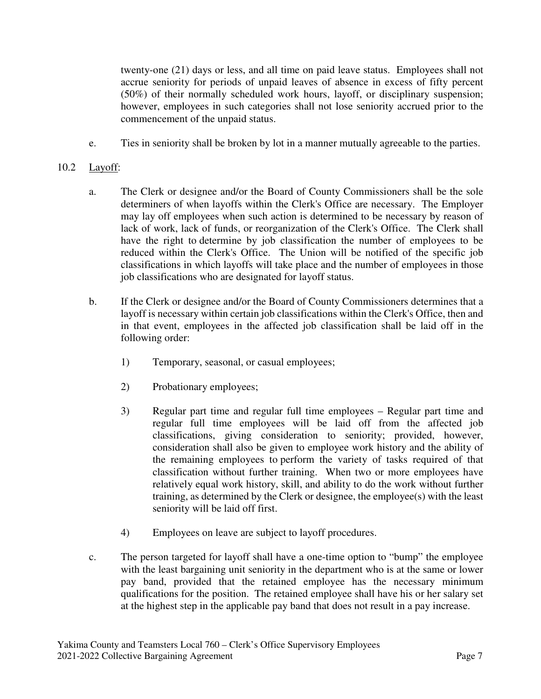twenty-one (21) days or less, and all time on paid leave status. Employees shall not accrue seniority for periods of unpaid leaves of absence in excess of fifty percent (50%) of their normally scheduled work hours, layoff, or disciplinary suspension; however, employees in such categories shall not lose seniority accrued prior to the commencement of the unpaid status.

e. Ties in seniority shall be broken by lot in a manner mutually agreeable to the parties.

# 10.2 Layoff:

- a. The Clerk or designee and/or the Board of County Commissioners shall be the sole determiners of when layoffs within the Clerk's Office are necessary. The Employer may lay off employees when such action is determined to be necessary by reason of lack of work, lack of funds, or reorganization of the Clerk's Office. The Clerk shall have the right to determine by job classification the number of employees to be reduced within the Clerk's Office. The Union will be notified of the specific job classifications in which layoffs will take place and the number of employees in those job classifications who are designated for layoff status.
- b. If the Clerk or designee and/or the Board of County Commissioners determines that a layoff is necessary within certain job classifications within the Clerk's Office, then and in that event, employees in the affected job classification shall be laid off in the following order:
	- 1) Temporary, seasonal, or casual employees;
	- 2) Probationary employees;
	- 3) Regular part time and regular full time employees Regular part time and regular full time employees will be laid off from the affected job classifications, giving consideration to seniority; provided, however, consideration shall also be given to employee work history and the ability of the remaining employees to perform the variety of tasks required of that classification without further training. When two or more employees have relatively equal work history, skill, and ability to do the work without further training, as determined by the Clerk or designee, the employee(s) with the least seniority will be laid off first.
	- 4) Employees on leave are subject to layoff procedures.
- c. The person targeted for layoff shall have a one-time option to "bump" the employee with the least bargaining unit seniority in the department who is at the same or lower pay band, provided that the retained employee has the necessary minimum qualifications for the position. The retained employee shall have his or her salary set at the highest step in the applicable pay band that does not result in a pay increase.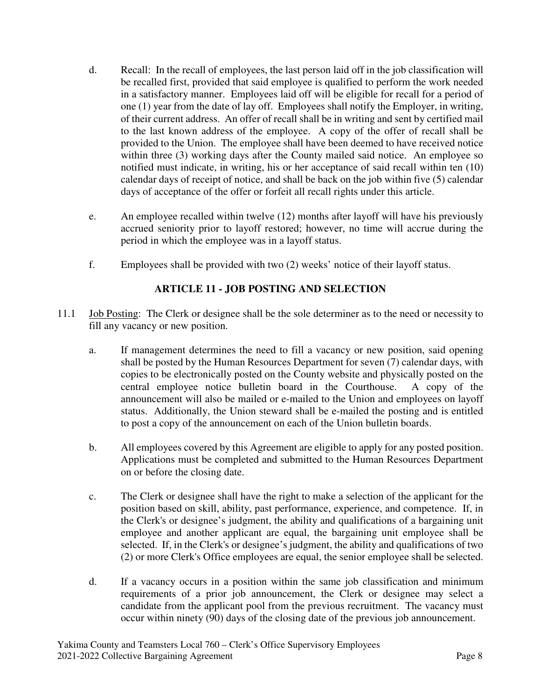- d. Recall: In the recall of employees, the last person laid off in the job classification will be recalled first, provided that said employee is qualified to perform the work needed in a satisfactory manner. Employees laid off will be eligible for recall for a period of one (1) year from the date of lay off. Employees shall notify the Employer, in writing, of their current address. An offer of recall shall be in writing and sent by certified mail to the last known address of the employee. A copy of the offer of recall shall be provided to the Union. The employee shall have been deemed to have received notice within three (3) working days after the County mailed said notice. An employee so notified must indicate, in writing, his or her acceptance of said recall within ten (10) calendar days of receipt of notice, and shall be back on the job within five (5) calendar days of acceptance of the offer or forfeit all recall rights under this article.
- e. An employee recalled within twelve (12) months after layoff will have his previously accrued seniority prior to layoff restored; however, no time will accrue during the period in which the employee was in a layoff status.
- f. Employees shall be provided with two (2) weeks' notice of their layoff status.

# **ARTICLE 11 - JOB POSTING AND SELECTION**

- 11.1 Job Posting: The Clerk or designee shall be the sole determiner as to the need or necessity to fill any vacancy or new position.
	- a. If management determines the need to fill a vacancy or new position, said opening shall be posted by the Human Resources Department for seven (7) calendar days, with copies to be electronically posted on the County website and physically posted on the central employee notice bulletin board in the Courthouse. A copy of the announcement will also be mailed or e-mailed to the Union and employees on layoff status. Additionally, the Union steward shall be e-mailed the posting and is entitled to post a copy of the announcement on each of the Union bulletin boards.
	- b. All employees covered by this Agreement are eligible to apply for any posted position. Applications must be completed and submitted to the Human Resources Department on or before the closing date.
	- c. The Clerk or designee shall have the right to make a selection of the applicant for the position based on skill, ability, past performance, experience, and competence. If, in the Clerk's or designee's judgment, the ability and qualifications of a bargaining unit employee and another applicant are equal, the bargaining unit employee shall be selected. If, in the Clerk's or designee's judgment, the ability and qualifications of two (2) or more Clerk's Office employees are equal, the senior employee shall be selected.
	- d. If a vacancy occurs in a position within the same job classification and minimum requirements of a prior job announcement, the Clerk or designee may select a candidate from the applicant pool from the previous recruitment. The vacancy must occur within ninety (90) days of the closing date of the previous job announcement.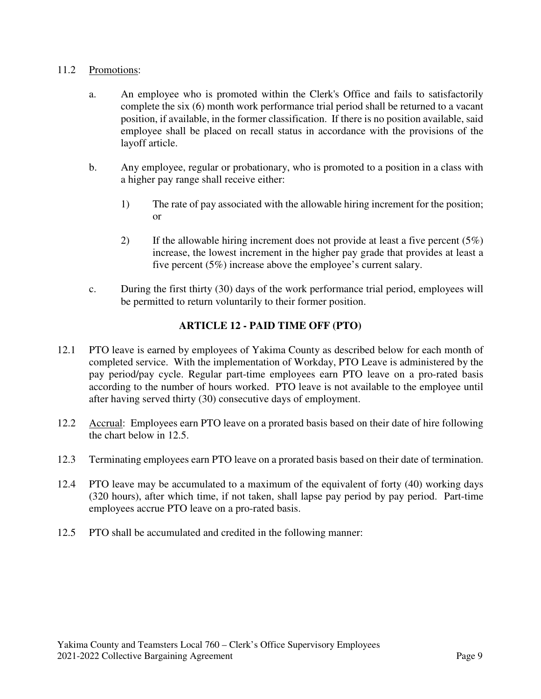#### 11.2 Promotions:

- a. An employee who is promoted within the Clerk's Office and fails to satisfactorily complete the six (6) month work performance trial period shall be returned to a vacant position, if available, in the former classification. If there is no position available, said employee shall be placed on recall status in accordance with the provisions of the layoff article.
- b. Any employee, regular or probationary, who is promoted to a position in a class with a higher pay range shall receive either:
	- 1) The rate of pay associated with the allowable hiring increment for the position; or
	- 2) If the allowable hiring increment does not provide at least a five percent  $(5\%)$ increase, the lowest increment in the higher pay grade that provides at least a five percent (5%) increase above the employee's current salary.
- c. During the first thirty (30) days of the work performance trial period, employees will be permitted to return voluntarily to their former position.

# **ARTICLE 12 - PAID TIME OFF (PTO)**

- 12.1 PTO leave is earned by employees of Yakima County as described below for each month of completed service. With the implementation of Workday, PTO Leave is administered by the pay period/pay cycle. Regular part-time employees earn PTO leave on a pro-rated basis according to the number of hours worked. PTO leave is not available to the employee until after having served thirty (30) consecutive days of employment.
- 12.2 Accrual: Employees earn PTO leave on a prorated basis based on their date of hire following the chart below in 12.5.
- 12.3 Terminating employees earn PTO leave on a prorated basis based on their date of termination.
- 12.4 PTO leave may be accumulated to a maximum of the equivalent of forty (40) working days (320 hours), after which time, if not taken, shall lapse pay period by pay period. Part-time employees accrue PTO leave on a pro-rated basis.
- 12.5 PTO shall be accumulated and credited in the following manner: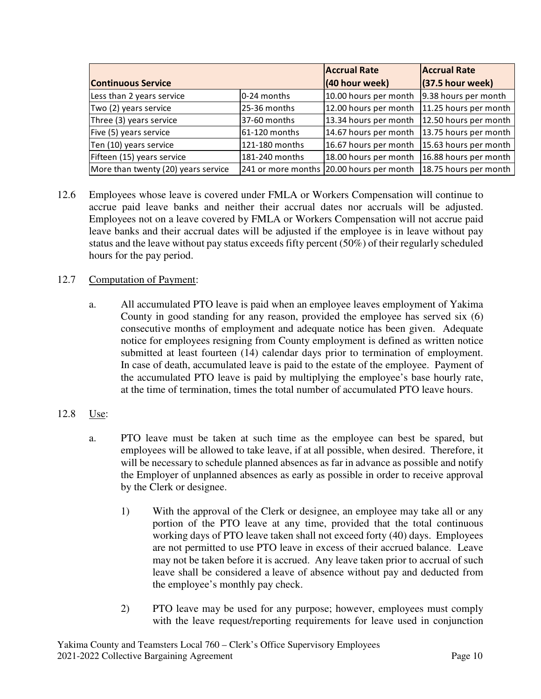|                                     |                | <b>Accrual Rate</b>                      | <b>Accrual Rate</b>   |
|-------------------------------------|----------------|------------------------------------------|-----------------------|
| <b>Continuous Service</b>           |                | (40 hour week)                           | $(37.5$ hour week)    |
| Less than 2 years service           | $0-24$ months  | 10.00 hours per month                    | 9.38 hours per month  |
| Two (2) years service               | 25-36 months   | 12.00 hours per month                    | 11.25 hours per month |
| Three (3) years service             | 37-60 months   | 13.34 hours per month                    | 12.50 hours per month |
| Five (5) years service              | 61-120 months  | 14.67 hours per month                    | 13.75 hours per month |
| Ten (10) years service              | 121-180 months | 16.67 hours per month                    | 15.63 hours per month |
| Fifteen (15) years service          | 181-240 months | 18.00 hours per month                    | 16.88 hours per month |
| More than twenty (20) years service |                | 241 or more months 20.00 hours per month | 18.75 hours per month |

12.6 Employees whose leave is covered under FMLA or Workers Compensation will continue to accrue paid leave banks and neither their accrual dates nor accruals will be adjusted. Employees not on a leave covered by FMLA or Workers Compensation will not accrue paid leave banks and their accrual dates will be adjusted if the employee is in leave without pay status and the leave without pay status exceeds fifty percent (50%) of their regularly scheduled hours for the pay period.

## 12.7 Computation of Payment:

a. All accumulated PTO leave is paid when an employee leaves employment of Yakima County in good standing for any reason, provided the employee has served six (6) consecutive months of employment and adequate notice has been given. Adequate notice for employees resigning from County employment is defined as written notice submitted at least fourteen (14) calendar days prior to termination of employment. In case of death, accumulated leave is paid to the estate of the employee. Payment of the accumulated PTO leave is paid by multiplying the employee's base hourly rate, at the time of termination, times the total number of accumulated PTO leave hours.

## 12.8 Use:

- a. PTO leave must be taken at such time as the employee can best be spared, but employees will be allowed to take leave, if at all possible, when desired. Therefore, it will be necessary to schedule planned absences as far in advance as possible and notify the Employer of unplanned absences as early as possible in order to receive approval by the Clerk or designee.
	- 1) With the approval of the Clerk or designee, an employee may take all or any portion of the PTO leave at any time, provided that the total continuous working days of PTO leave taken shall not exceed forty (40) days. Employees are not permitted to use PTO leave in excess of their accrued balance. Leave may not be taken before it is accrued. Any leave taken prior to accrual of such leave shall be considered a leave of absence without pay and deducted from the employee's monthly pay check.
	- 2) PTO leave may be used for any purpose; however, employees must comply with the leave request/reporting requirements for leave used in conjunction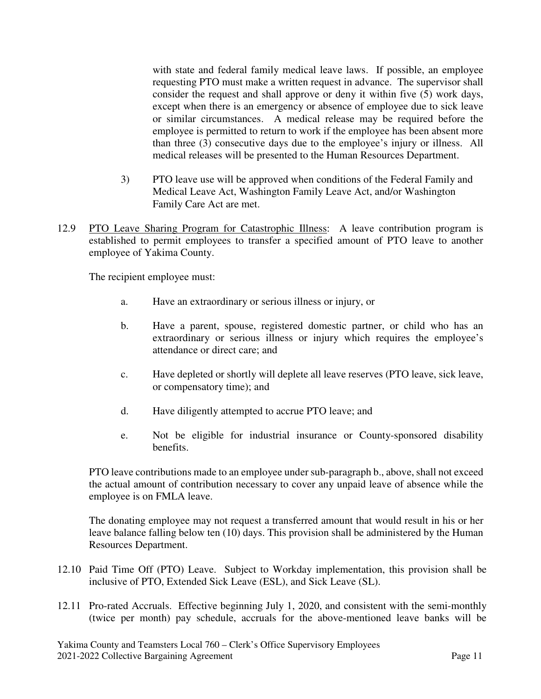with state and federal family medical leave laws. If possible, an employee requesting PTO must make a written request in advance. The supervisor shall consider the request and shall approve or deny it within five (5) work days, except when there is an emergency or absence of employee due to sick leave or similar circumstances. A medical release may be required before the employee is permitted to return to work if the employee has been absent more than three (3) consecutive days due to the employee's injury or illness. All medical releases will be presented to the Human Resources Department.

- 3) PTO leave use will be approved when conditions of the Federal Family and Medical Leave Act, Washington Family Leave Act, and/or Washington Family Care Act are met.
- 12.9 PTO Leave Sharing Program for Catastrophic Illness: A leave contribution program is established to permit employees to transfer a specified amount of PTO leave to another employee of Yakima County.

The recipient employee must:

- a. Have an extraordinary or serious illness or injury, or
- b. Have a parent, spouse, registered domestic partner, or child who has an extraordinary or serious illness or injury which requires the employee's attendance or direct care; and
- c. Have depleted or shortly will deplete all leave reserves (PTO leave, sick leave, or compensatory time); and
- d. Have diligently attempted to accrue PTO leave; and
- e. Not be eligible for industrial insurance or County-sponsored disability benefits.

 PTO leave contributions made to an employee under sub-paragraph b., above, shall not exceed the actual amount of contribution necessary to cover any unpaid leave of absence while the employee is on FMLA leave.

 The donating employee may not request a transferred amount that would result in his or her leave balance falling below ten (10) days. This provision shall be administered by the Human Resources Department.

- 12.10 Paid Time Off (PTO) Leave. Subject to Workday implementation, this provision shall be inclusive of PTO, Extended Sick Leave (ESL), and Sick Leave (SL).
- 12.11 Pro-rated Accruals. Effective beginning July 1, 2020, and consistent with the semi-monthly (twice per month) pay schedule, accruals for the above-mentioned leave banks will be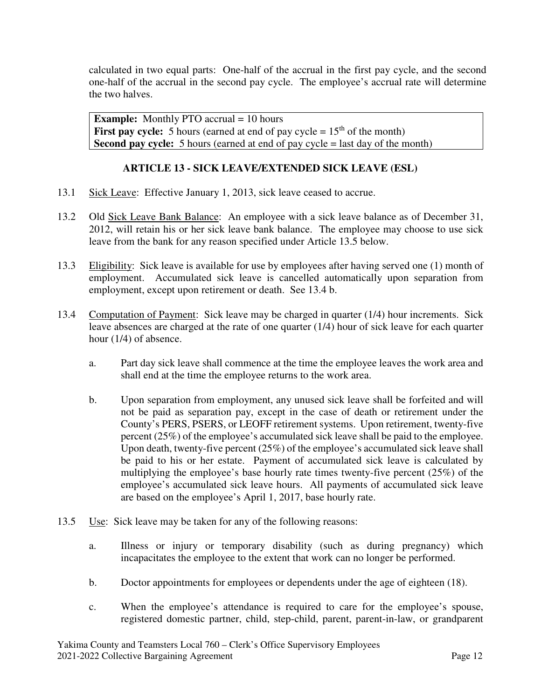calculated in two equal parts: One-half of the accrual in the first pay cycle, and the second one-half of the accrual in the second pay cycle. The employee's accrual rate will determine the two halves.

**Example:** Monthly PTO accrual = 10 hours **First pay cycle:** 5 hours (earned at end of pay cycle  $= 15<sup>th</sup>$  of the month) **Second pay cycle:** 5 hours (earned at end of pay cycle = last day of the month)

# **ARTICLE 13 - SICK LEAVE/EXTENDED SICK LEAVE (ESL)**

- 13.1 Sick Leave: Effective January 1, 2013, sick leave ceased to accrue.
- 13.2 Old Sick Leave Bank Balance: An employee with a sick leave balance as of December 31, 2012, will retain his or her sick leave bank balance. The employee may choose to use sick leave from the bank for any reason specified under Article 13.5 below.
- 13.3 Eligibility: Sick leave is available for use by employees after having served one (1) month of employment. Accumulated sick leave is cancelled automatically upon separation from employment, except upon retirement or death. See 13.4 b.
- 13.4 Computation of Payment: Sick leave may be charged in quarter (1/4) hour increments. Sick leave absences are charged at the rate of one quarter (1/4) hour of sick leave for each quarter hour (1/4) of absence.
	- a. Part day sick leave shall commence at the time the employee leaves the work area and shall end at the time the employee returns to the work area.
	- b. Upon separation from employment, any unused sick leave shall be forfeited and will not be paid as separation pay, except in the case of death or retirement under the County's PERS, PSERS, or LEOFF retirement systems. Upon retirement, twenty-five percent (25%) of the employee's accumulated sick leave shall be paid to the employee. Upon death, twenty-five percent (25%) of the employee's accumulated sick leave shall be paid to his or her estate. Payment of accumulated sick leave is calculated by multiplying the employee's base hourly rate times twenty-five percent (25%) of the employee's accumulated sick leave hours. All payments of accumulated sick leave are based on the employee's April 1, 2017, base hourly rate.
- 13.5 Use: Sick leave may be taken for any of the following reasons:
	- a. Illness or injury or temporary disability (such as during pregnancy) which incapacitates the employee to the extent that work can no longer be performed.
	- b. Doctor appointments for employees or dependents under the age of eighteen (18).
	- c. When the employee's attendance is required to care for the employee's spouse, registered domestic partner, child, step-child, parent, parent-in-law, or grandparent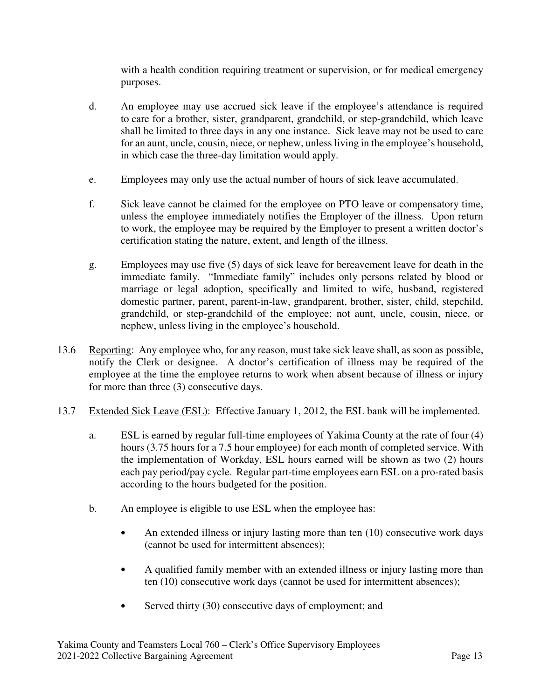with a health condition requiring treatment or supervision, or for medical emergency purposes.

- d. An employee may use accrued sick leave if the employee's attendance is required to care for a brother, sister, grandparent, grandchild, or step-grandchild, which leave shall be limited to three days in any one instance. Sick leave may not be used to care for an aunt, uncle, cousin, niece, or nephew, unless living in the employee's household, in which case the three-day limitation would apply.
- e. Employees may only use the actual number of hours of sick leave accumulated.
- f. Sick leave cannot be claimed for the employee on PTO leave or compensatory time, unless the employee immediately notifies the Employer of the illness. Upon return to work, the employee may be required by the Employer to present a written doctor's certification stating the nature, extent, and length of the illness.
- g. Employees may use five (5) days of sick leave for bereavement leave for death in the immediate family. "Immediate family" includes only persons related by blood or marriage or legal adoption, specifically and limited to wife, husband, registered domestic partner, parent, parent-in-law, grandparent, brother, sister, child, stepchild, grandchild, or step-grandchild of the employee; not aunt, uncle, cousin, niece, or nephew, unless living in the employee's household.
- 13.6 Reporting: Any employee who, for any reason, must take sick leave shall, as soon as possible, notify the Clerk or designee. A doctor's certification of illness may be required of the employee at the time the employee returns to work when absent because of illness or injury for more than three (3) consecutive days.
- 13.7 Extended Sick Leave (ESL): Effective January 1, 2012, the ESL bank will be implemented.
	- a. ESL is earned by regular full-time employees of Yakima County at the rate of four (4) hours (3.75 hours for a 7.5 hour employee) for each month of completed service. With the implementation of Workday, ESL hours earned will be shown as two (2) hours each pay period/pay cycle. Regular part-time employees earn ESL on a pro-rated basis according to the hours budgeted for the position.
	- b. An employee is eligible to use ESL when the employee has:
		- An extended illness or injury lasting more than ten (10) consecutive work days (cannot be used for intermittent absences);
		- A qualified family member with an extended illness or injury lasting more than ten (10) consecutive work days (cannot be used for intermittent absences);
		- Served thirty (30) consecutive days of employment; and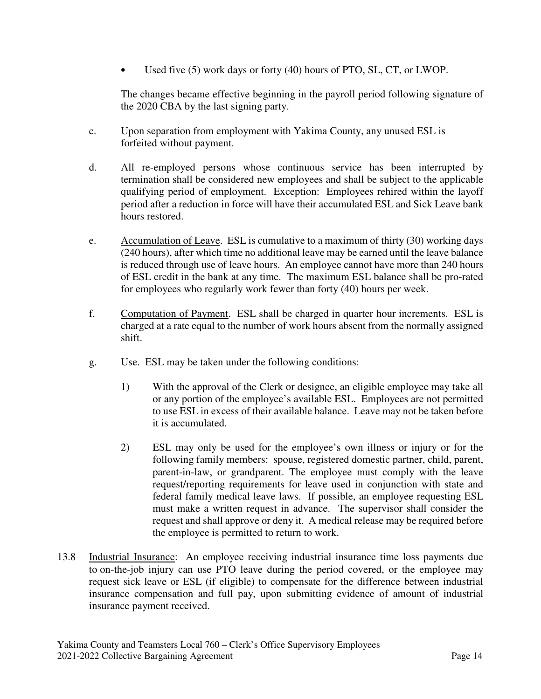Used five (5) work days or forty (40) hours of PTO, SL, CT, or LWOP.

The changes became effective beginning in the payroll period following signature of the 2020 CBA by the last signing party.

- c. Upon separation from employment with Yakima County, any unused ESL is forfeited without payment.
- d. All re-employed persons whose continuous service has been interrupted by termination shall be considered new employees and shall be subject to the applicable qualifying period of employment. Exception: Employees rehired within the layoff period after a reduction in force will have their accumulated ESL and Sick Leave bank hours restored.
- e. Accumulation of Leave. ESL is cumulative to a maximum of thirty (30) working days (240 hours), after which time no additional leave may be earned until the leave balance is reduced through use of leave hours. An employee cannot have more than 240 hours of ESL credit in the bank at any time. The maximum ESL balance shall be pro-rated for employees who regularly work fewer than forty (40) hours per week.
- f. Computation of Payment. ESL shall be charged in quarter hour increments. ESL is charged at a rate equal to the number of work hours absent from the normally assigned shift.
- g. Use. ESL may be taken under the following conditions:
	- 1) With the approval of the Clerk or designee, an eligible employee may take all or any portion of the employee's available ESL. Employees are not permitted to use ESL in excess of their available balance. Leave may not be taken before it is accumulated.
	- 2) ESL may only be used for the employee's own illness or injury or for the following family members: spouse, registered domestic partner, child, parent, parent-in-law, or grandparent. The employee must comply with the leave request/reporting requirements for leave used in conjunction with state and federal family medical leave laws. If possible, an employee requesting ESL must make a written request in advance. The supervisor shall consider the request and shall approve or deny it. A medical release may be required before the employee is permitted to return to work.
- 13.8 Industrial Insurance: An employee receiving industrial insurance time loss payments due to on-the-job injury can use PTO leave during the period covered, or the employee may request sick leave or ESL (if eligible) to compensate for the difference between industrial insurance compensation and full pay, upon submitting evidence of amount of industrial insurance payment received.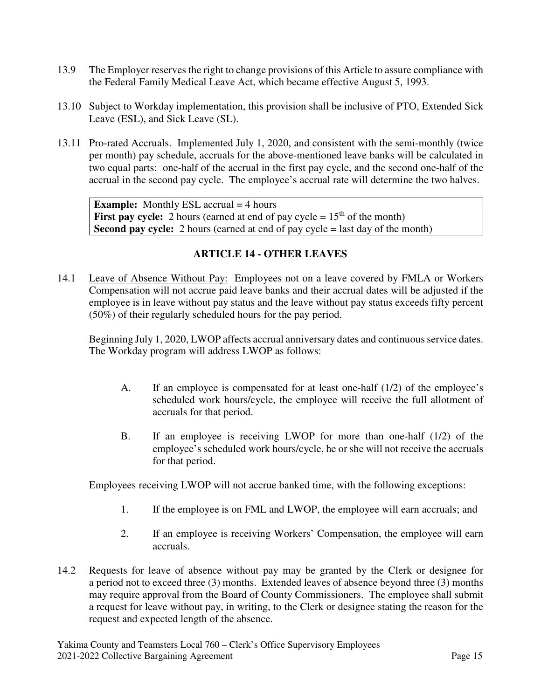- 13.9 The Employer reserves the right to change provisions of this Article to assure compliance with the Federal Family Medical Leave Act, which became effective August 5, 1993.
- 13.10 Subject to Workday implementation, this provision shall be inclusive of PTO, Extended Sick Leave (ESL), and Sick Leave (SL).
- 13.11 Pro-rated Accruals. Implemented July 1, 2020, and consistent with the semi-monthly (twice per month) pay schedule, accruals for the above-mentioned leave banks will be calculated in two equal parts: one-half of the accrual in the first pay cycle, and the second one-half of the accrual in the second pay cycle. The employee's accrual rate will determine the two halves.

**Example:** Monthly ESL accrual = 4 hours **First pay cycle:** 2 hours (earned at end of pay cycle  $= 15<sup>th</sup>$  of the month) **Second pay cycle:** 2 hours (earned at end of pay cycle = last day of the month)

## **ARTICLE 14 - OTHER LEAVES**

14.1 Leave of Absence Without Pay: Employees not on a leave covered by FMLA or Workers Compensation will not accrue paid leave banks and their accrual dates will be adjusted if the employee is in leave without pay status and the leave without pay status exceeds fifty percent (50%) of their regularly scheduled hours for the pay period.

Beginning July 1, 2020, LWOP affects accrual anniversary dates and continuous service dates. The Workday program will address LWOP as follows:

- A. If an employee is compensated for at least one-half (1/2) of the employee's scheduled work hours/cycle, the employee will receive the full allotment of accruals for that period.
- B. If an employee is receiving LWOP for more than one-half (1/2) of the employee's scheduled work hours/cycle, he or she will not receive the accruals for that period.

Employees receiving LWOP will not accrue banked time, with the following exceptions:

- 1. If the employee is on FML and LWOP, the employee will earn accruals; and
- 2. If an employee is receiving Workers' Compensation, the employee will earn accruals.
- 14.2 Requests for leave of absence without pay may be granted by the Clerk or designee for a period not to exceed three (3) months. Extended leaves of absence beyond three (3) months may require approval from the Board of County Commissioners. The employee shall submit a request for leave without pay, in writing, to the Clerk or designee stating the reason for the request and expected length of the absence.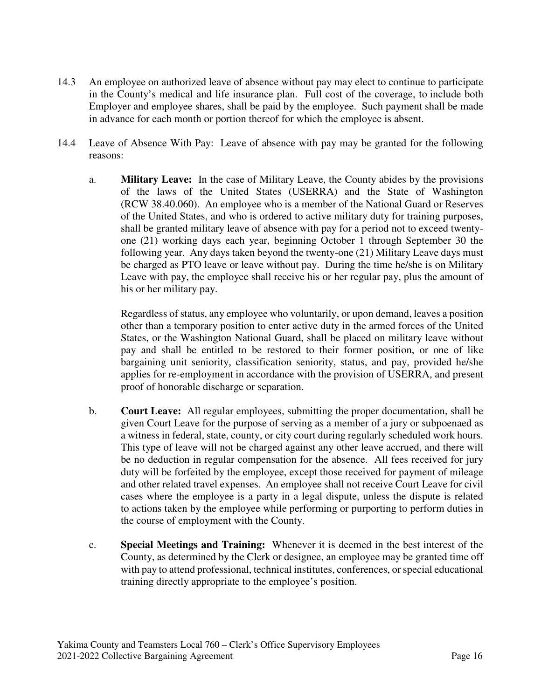- 14.3 An employee on authorized leave of absence without pay may elect to continue to participate in the County's medical and life insurance plan. Full cost of the coverage, to include both Employer and employee shares, shall be paid by the employee. Such payment shall be made in advance for each month or portion thereof for which the employee is absent.
- 14.4 Leave of Absence With Pay: Leave of absence with pay may be granted for the following reasons:
	- a. **Military Leave:** In the case of Military Leave, the County abides by the provisions of the laws of the United States (USERRA) and the State of Washington (RCW 38.40.060). An employee who is a member of the National Guard or Reserves of the United States, and who is ordered to active military duty for training purposes, shall be granted military leave of absence with pay for a period not to exceed twentyone (21) working days each year, beginning October 1 through September 30 the following year. Any days taken beyond the twenty-one (21) Military Leave days must be charged as PTO leave or leave without pay. During the time he/she is on Military Leave with pay, the employee shall receive his or her regular pay, plus the amount of his or her military pay.

Regardless of status, any employee who voluntarily, or upon demand, leaves a position other than a temporary position to enter active duty in the armed forces of the United States, or the Washington National Guard, shall be placed on military leave without pay and shall be entitled to be restored to their former position, or one of like bargaining unit seniority, classification seniority, status, and pay, provided he/she applies for re-employment in accordance with the provision of USERRA, and present proof of honorable discharge or separation.

- b. **Court Leave:** All regular employees, submitting the proper documentation, shall be given Court Leave for the purpose of serving as a member of a jury or subpoenaed as a witness in federal, state, county, or city court during regularly scheduled work hours. This type of leave will not be charged against any other leave accrued, and there will be no deduction in regular compensation for the absence. All fees received for jury duty will be forfeited by the employee, except those received for payment of mileage and other related travel expenses. An employee shall not receive Court Leave for civil cases where the employee is a party in a legal dispute, unless the dispute is related to actions taken by the employee while performing or purporting to perform duties in the course of employment with the County.
- c. **Special Meetings and Training:** Whenever it is deemed in the best interest of the County, as determined by the Clerk or designee, an employee may be granted time off with pay to attend professional, technical institutes, conferences, or special educational training directly appropriate to the employee's position.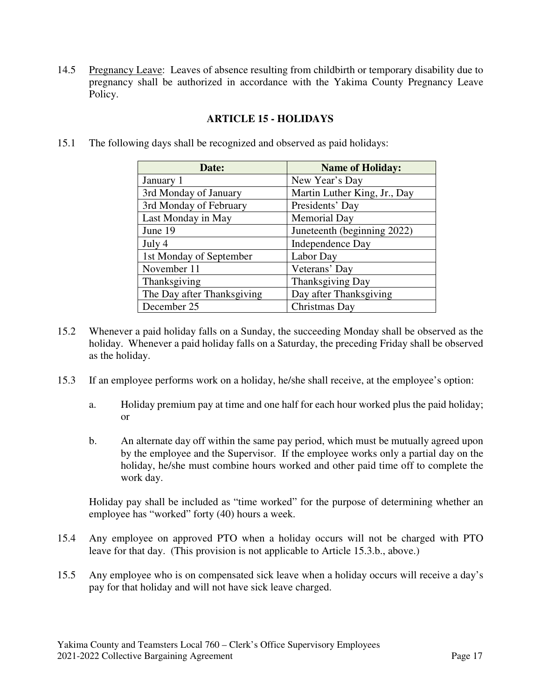14.5 Pregnancy Leave: Leaves of absence resulting from childbirth or temporary disability due to pregnancy shall be authorized in accordance with the Yakima County Pregnancy Leave Policy.

| Date:                      | <b>Name of Holiday:</b>      |
|----------------------------|------------------------------|
| January 1                  | New Year's Day               |
| 3rd Monday of January      | Martin Luther King, Jr., Day |
| 3rd Monday of February     | Presidents' Day              |
| Last Monday in May         | <b>Memorial Day</b>          |
| June 19                    | Juneteenth (beginning 2022)  |
| July 4                     | Independence Day             |
| 1st Monday of September    | Labor Day                    |
| November 11                | Veterans' Day                |
| Thanksgiving               | Thanksgiving Day             |
| The Day after Thanksgiving | Day after Thanksgiving       |
| December 25                | Christmas Day                |

#### **ARTICLE 15 - HOLIDAYS**

15.1 The following days shall be recognized and observed as paid holidays:

- 15.2 Whenever a paid holiday falls on a Sunday, the succeeding Monday shall be observed as the holiday. Whenever a paid holiday falls on a Saturday, the preceding Friday shall be observed as the holiday.
- 15.3 If an employee performs work on a holiday, he/she shall receive, at the employee's option:
	- a. Holiday premium pay at time and one half for each hour worked plus the paid holiday; or
	- b. An alternate day off within the same pay period, which must be mutually agreed upon by the employee and the Supervisor. If the employee works only a partial day on the holiday, he/she must combine hours worked and other paid time off to complete the work day.

Holiday pay shall be included as "time worked" for the purpose of determining whether an employee has "worked" forty (40) hours a week.

- 15.4 Any employee on approved PTO when a holiday occurs will not be charged with PTO leave for that day. (This provision is not applicable to Article 15.3.b., above.)
- 15.5 Any employee who is on compensated sick leave when a holiday occurs will receive a day's pay for that holiday and will not have sick leave charged.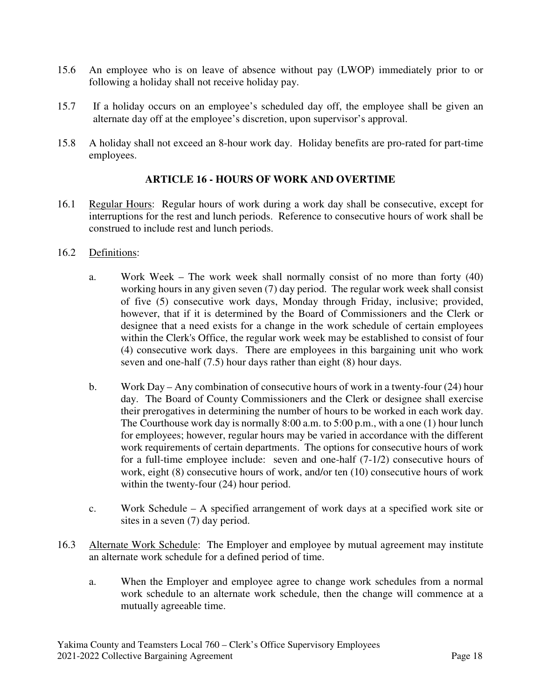- 15.6 An employee who is on leave of absence without pay (LWOP) immediately prior to or following a holiday shall not receive holiday pay.
- 15.7 If a holiday occurs on an employee's scheduled day off, the employee shall be given an alternate day off at the employee's discretion, upon supervisor's approval.
- 15.8 A holiday shall not exceed an 8-hour work day. Holiday benefits are pro-rated for part-time employees.

#### **ARTICLE 16 - HOURS OF WORK AND OVERTIME**

16.1 Regular Hours: Regular hours of work during a work day shall be consecutive, except for interruptions for the rest and lunch periods. Reference to consecutive hours of work shall be construed to include rest and lunch periods.

#### 16.2 Definitions:

- a. Work Week The work week shall normally consist of no more than forty (40) working hours in any given seven (7) day period. The regular work week shall consist of five (5) consecutive work days, Monday through Friday, inclusive; provided, however, that if it is determined by the Board of Commissioners and the Clerk or designee that a need exists for a change in the work schedule of certain employees within the Clerk's Office, the regular work week may be established to consist of four (4) consecutive work days. There are employees in this bargaining unit who work seven and one-half (7.5) hour days rather than eight (8) hour days.
- b. Work Day Any combination of consecutive hours of work in a twenty-four (24) hour day. The Board of County Commissioners and the Clerk or designee shall exercise their prerogatives in determining the number of hours to be worked in each work day. The Courthouse work day is normally 8:00 a.m. to 5:00 p.m., with a one (1) hour lunch for employees; however, regular hours may be varied in accordance with the different work requirements of certain departments. The options for consecutive hours of work for a full-time employee include: seven and one-half (7-1/2) consecutive hours of work, eight (8) consecutive hours of work, and/or ten (10) consecutive hours of work within the twenty-four  $(24)$  hour period.
- c. Work Schedule A specified arrangement of work days at a specified work site or sites in a seven (7) day period.
- 16.3 Alternate Work Schedule: The Employer and employee by mutual agreement may institute an alternate work schedule for a defined period of time.
	- a. When the Employer and employee agree to change work schedules from a normal work schedule to an alternate work schedule, then the change will commence at a mutually agreeable time.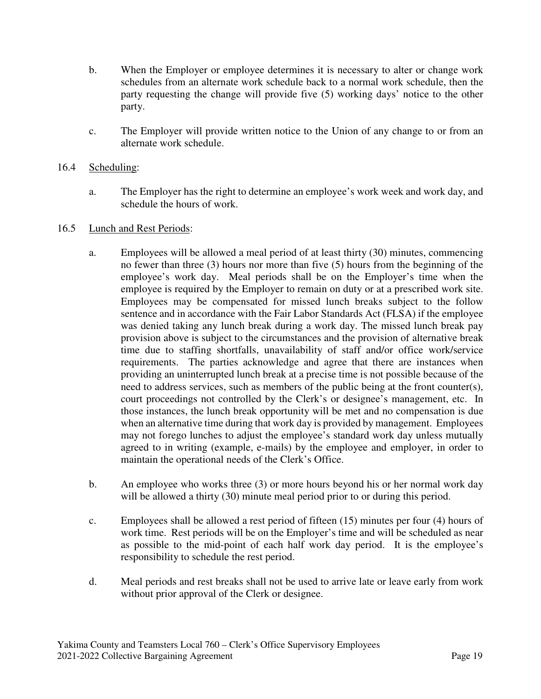- b. When the Employer or employee determines it is necessary to alter or change work schedules from an alternate work schedule back to a normal work schedule, then the party requesting the change will provide five (5) working days' notice to the other party.
- c. The Employer will provide written notice to the Union of any change to or from an alternate work schedule.

## 16.4 Scheduling:

a. The Employer has the right to determine an employee's work week and work day, and schedule the hours of work.

## 16.5 Lunch and Rest Periods:

- a. Employees will be allowed a meal period of at least thirty (30) minutes, commencing no fewer than three (3) hours nor more than five (5) hours from the beginning of the employee's work day. Meal periods shall be on the Employer's time when the employee is required by the Employer to remain on duty or at a prescribed work site. Employees may be compensated for missed lunch breaks subject to the follow sentence and in accordance with the Fair Labor Standards Act (FLSA) if the employee was denied taking any lunch break during a work day. The missed lunch break pay provision above is subject to the circumstances and the provision of alternative break time due to staffing shortfalls, unavailability of staff and/or office work/service requirements. The parties acknowledge and agree that there are instances when providing an uninterrupted lunch break at a precise time is not possible because of the need to address services, such as members of the public being at the front counter(s), court proceedings not controlled by the Clerk's or designee's management, etc. In those instances, the lunch break opportunity will be met and no compensation is due when an alternative time during that work day is provided by management. Employees may not forego lunches to adjust the employee's standard work day unless mutually agreed to in writing (example, e-mails) by the employee and employer, in order to maintain the operational needs of the Clerk's Office.
- b. An employee who works three (3) or more hours beyond his or her normal work day will be allowed a thirty (30) minute meal period prior to or during this period.
- c. Employees shall be allowed a rest period of fifteen (15) minutes per four (4) hours of work time. Rest periods will be on the Employer's time and will be scheduled as near as possible to the mid-point of each half work day period. It is the employee's responsibility to schedule the rest period.
- d. Meal periods and rest breaks shall not be used to arrive late or leave early from work without prior approval of the Clerk or designee.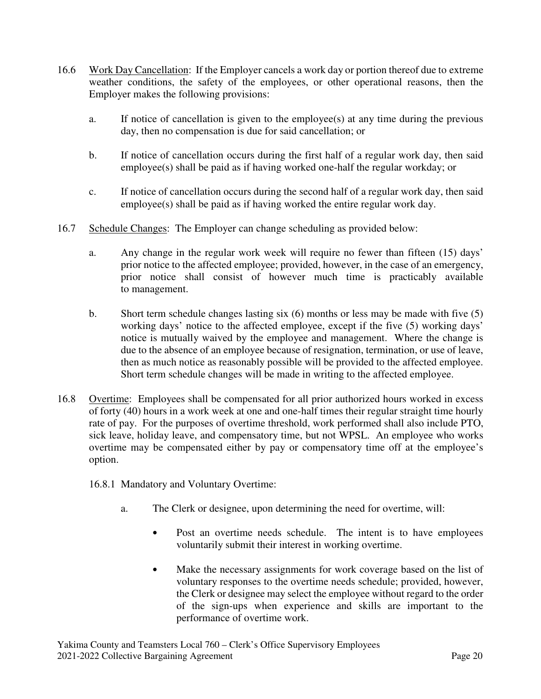- 16.6 Work Day Cancellation: If the Employer cancels a work day or portion thereof due to extreme weather conditions, the safety of the employees, or other operational reasons, then the Employer makes the following provisions:
	- a. If notice of cancellation is given to the employee(s) at any time during the previous day, then no compensation is due for said cancellation; or
	- b. If notice of cancellation occurs during the first half of a regular work day, then said employee(s) shall be paid as if having worked one-half the regular workday; or
	- c. If notice of cancellation occurs during the second half of a regular work day, then said employee(s) shall be paid as if having worked the entire regular work day.
- 16.7 Schedule Changes: The Employer can change scheduling as provided below:
	- a. Any change in the regular work week will require no fewer than fifteen (15) days' prior notice to the affected employee; provided, however, in the case of an emergency, prior notice shall consist of however much time is practicably available to management.
	- b. Short term schedule changes lasting six (6) months or less may be made with five (5) working days' notice to the affected employee, except if the five (5) working days' notice is mutually waived by the employee and management. Where the change is due to the absence of an employee because of resignation, termination, or use of leave, then as much notice as reasonably possible will be provided to the affected employee. Short term schedule changes will be made in writing to the affected employee.
- 16.8 Overtime: Employees shall be compensated for all prior authorized hours worked in excess of forty (40) hours in a work week at one and one-half times their regular straight time hourly rate of pay. For the purposes of overtime threshold, work performed shall also include PTO, sick leave, holiday leave, and compensatory time, but not WPSL. An employee who works overtime may be compensated either by pay or compensatory time off at the employee's option.
	- 16.8.1 Mandatory and Voluntary Overtime:
		- a. The Clerk or designee, upon determining the need for overtime, will:
			- Post an overtime needs schedule. The intent is to have employees voluntarily submit their interest in working overtime.
			- Make the necessary assignments for work coverage based on the list of voluntary responses to the overtime needs schedule; provided, however, the Clerk or designee may select the employee without regard to the order of the sign-ups when experience and skills are important to the performance of overtime work.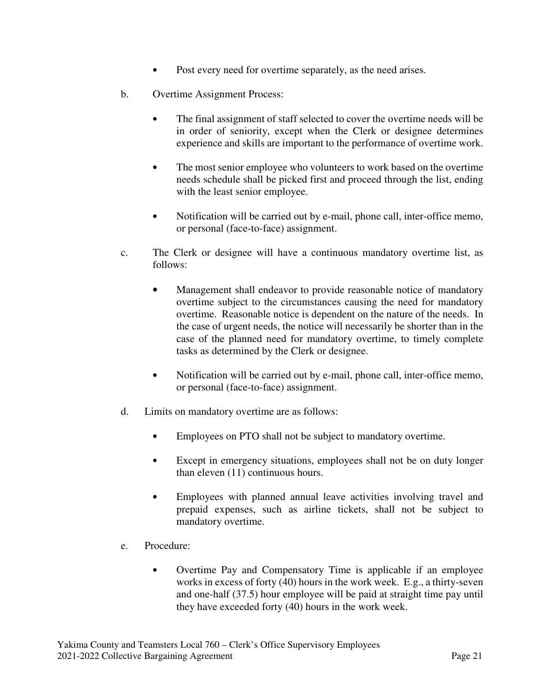- Post every need for overtime separately, as the need arises.
- b. Overtime Assignment Process:
	- The final assignment of staff selected to cover the overtime needs will be in order of seniority, except when the Clerk or designee determines experience and skills are important to the performance of overtime work.
	- The most senior employee who volunteers to work based on the overtime needs schedule shall be picked first and proceed through the list, ending with the least senior employee.
	- Notification will be carried out by e-mail, phone call, inter-office memo, or personal (face-to-face) assignment.
- c. The Clerk or designee will have a continuous mandatory overtime list, as follows:
	- Management shall endeavor to provide reasonable notice of mandatory overtime subject to the circumstances causing the need for mandatory overtime. Reasonable notice is dependent on the nature of the needs. In the case of urgent needs, the notice will necessarily be shorter than in the case of the planned need for mandatory overtime, to timely complete tasks as determined by the Clerk or designee.
	- Notification will be carried out by e-mail, phone call, inter-office memo, or personal (face-to-face) assignment.
- d. Limits on mandatory overtime are as follows:
	- Employees on PTO shall not be subject to mandatory overtime.
	- Except in emergency situations, employees shall not be on duty longer than eleven (11) continuous hours.
	- Employees with planned annual leave activities involving travel and prepaid expenses, such as airline tickets, shall not be subject to mandatory overtime.
- e. Procedure:
	- Overtime Pay and Compensatory Time is applicable if an employee works in excess of forty (40) hours in the work week. E.g., a thirty-seven and one-half (37.5) hour employee will be paid at straight time pay until they have exceeded forty (40) hours in the work week.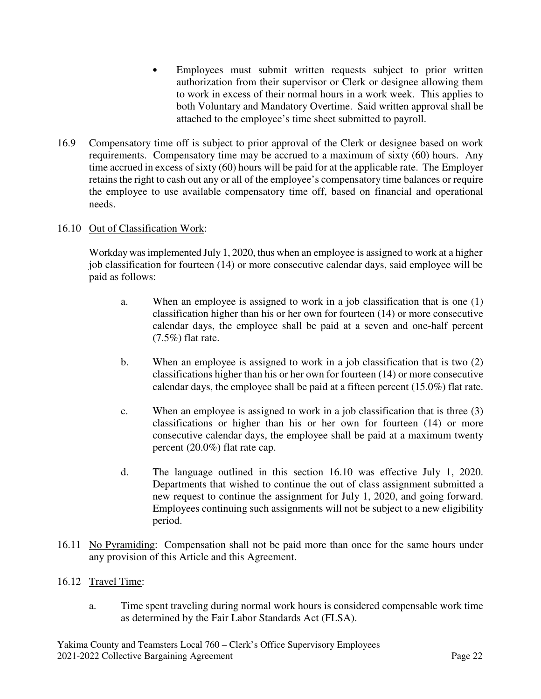- Employees must submit written requests subject to prior written authorization from their supervisor or Clerk or designee allowing them to work in excess of their normal hours in a work week. This applies to both Voluntary and Mandatory Overtime. Said written approval shall be attached to the employee's time sheet submitted to payroll.
- 16.9 Compensatory time off is subject to prior approval of the Clerk or designee based on work requirements. Compensatory time may be accrued to a maximum of sixty (60) hours. Any time accrued in excess of sixty (60) hours will be paid for at the applicable rate. The Employer retains the right to cash out any or all of the employee's compensatory time balances or require the employee to use available compensatory time off, based on financial and operational needs.

## 16.10 Out of Classification Work:

Workday was implemented July 1, 2020, thus when an employee is assigned to work at a higher job classification for fourteen (14) or more consecutive calendar days, said employee will be paid as follows:

- a. When an employee is assigned to work in a job classification that is one (1) classification higher than his or her own for fourteen (14) or more consecutive calendar days, the employee shall be paid at a seven and one-half percent  $(7.5\%)$  flat rate.
- b. When an employee is assigned to work in a job classification that is two (2) classifications higher than his or her own for fourteen (14) or more consecutive calendar days, the employee shall be paid at a fifteen percent (15.0%) flat rate.
- c. When an employee is assigned to work in a job classification that is three (3) classifications or higher than his or her own for fourteen (14) or more consecutive calendar days, the employee shall be paid at a maximum twenty percent (20.0%) flat rate cap.
- d. The language outlined in this section 16.10 was effective July 1, 2020. Departments that wished to continue the out of class assignment submitted a new request to continue the assignment for July 1, 2020, and going forward. Employees continuing such assignments will not be subject to a new eligibility period.
- 16.11 No Pyramiding: Compensation shall not be paid more than once for the same hours under any provision of this Article and this Agreement.

## 16.12 Travel Time:

a. Time spent traveling during normal work hours is considered compensable work time as determined by the Fair Labor Standards Act (FLSA).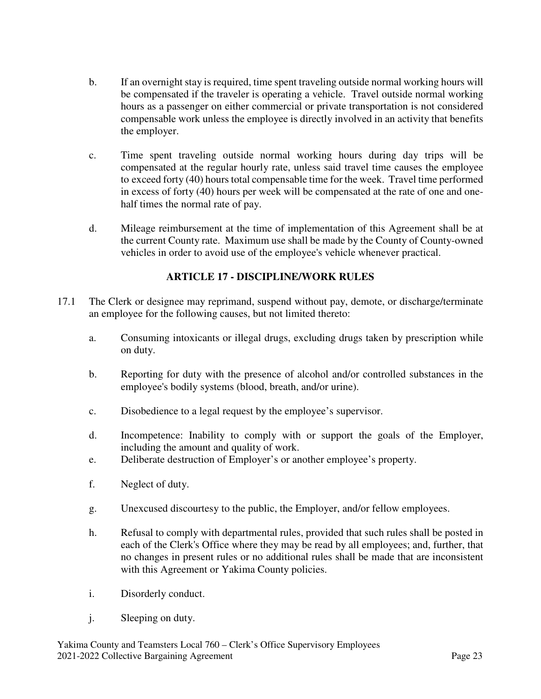- b. If an overnight stay is required, time spent traveling outside normal working hours will be compensated if the traveler is operating a vehicle. Travel outside normal working hours as a passenger on either commercial or private transportation is not considered compensable work unless the employee is directly involved in an activity that benefits the employer.
- c. Time spent traveling outside normal working hours during day trips will be compensated at the regular hourly rate, unless said travel time causes the employee to exceed forty (40) hours total compensable time for the week. Travel time performed in excess of forty (40) hours per week will be compensated at the rate of one and onehalf times the normal rate of pay.
- d. Mileage reimbursement at the time of implementation of this Agreement shall be at the current County rate. Maximum use shall be made by the County of County-owned vehicles in order to avoid use of the employee's vehicle whenever practical.

# **ARTICLE 17 - DISCIPLINE/WORK RULES**

- 17.1 The Clerk or designee may reprimand, suspend without pay, demote, or discharge/terminate an employee for the following causes, but not limited thereto:
	- a. Consuming intoxicants or illegal drugs, excluding drugs taken by prescription while on duty.
	- b. Reporting for duty with the presence of alcohol and/or controlled substances in the employee's bodily systems (blood, breath, and/or urine).
	- c. Disobedience to a legal request by the employee's supervisor.
	- d. Incompetence: Inability to comply with or support the goals of the Employer, including the amount and quality of work.
	- e. Deliberate destruction of Employer's or another employee's property.
	- f. Neglect of duty.
	- g. Unexcused discourtesy to the public, the Employer, and/or fellow employees.
	- h. Refusal to comply with departmental rules, provided that such rules shall be posted in each of the Clerk's Office where they may be read by all employees; and, further, that no changes in present rules or no additional rules shall be made that are inconsistent with this Agreement or Yakima County policies.
	- i. Disorderly conduct.
	- j. Sleeping on duty.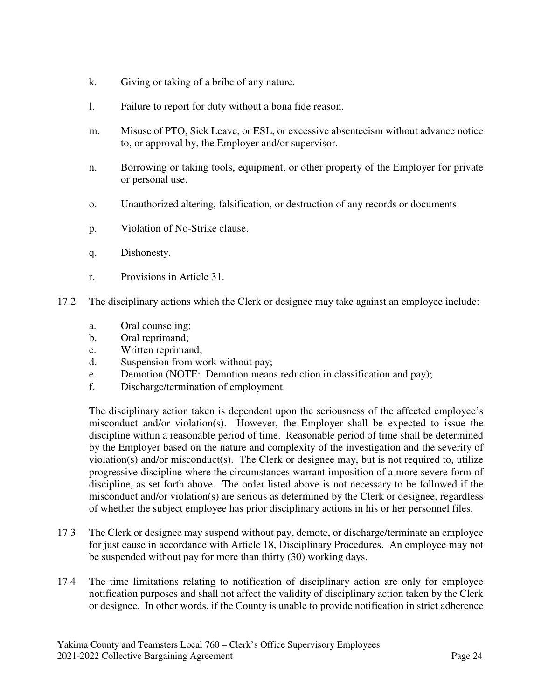- k. Giving or taking of a bribe of any nature.
- l. Failure to report for duty without a bona fide reason.
- m. Misuse of PTO, Sick Leave, or ESL, or excessive absenteeism without advance notice to, or approval by, the Employer and/or supervisor.
- n. Borrowing or taking tools, equipment, or other property of the Employer for private or personal use.
- o. Unauthorized altering, falsification, or destruction of any records or documents.
- p. Violation of No-Strike clause.
- q. Dishonesty.
- r. Provisions in Article 31.
- 17.2 The disciplinary actions which the Clerk or designee may take against an employee include:
	- a. Oral counseling;
	- b. Oral reprimand;
	- c. Written reprimand;
	- d. Suspension from work without pay;
	- e. Demotion (NOTE: Demotion means reduction in classification and pay);
	- f. Discharge/termination of employment.

The disciplinary action taken is dependent upon the seriousness of the affected employee's misconduct and/or violation(s). However, the Employer shall be expected to issue the discipline within a reasonable period of time. Reasonable period of time shall be determined by the Employer based on the nature and complexity of the investigation and the severity of violation(s) and/or misconduct(s). The Clerk or designee may, but is not required to, utilize progressive discipline where the circumstances warrant imposition of a more severe form of discipline, as set forth above. The order listed above is not necessary to be followed if the misconduct and/or violation(s) are serious as determined by the Clerk or designee, regardless of whether the subject employee has prior disciplinary actions in his or her personnel files.

- 17.3 The Clerk or designee may suspend without pay, demote, or discharge/terminate an employee for just cause in accordance with Article 18, Disciplinary Procedures. An employee may not be suspended without pay for more than thirty (30) working days.
- 17.4 The time limitations relating to notification of disciplinary action are only for employee notification purposes and shall not affect the validity of disciplinary action taken by the Clerk or designee. In other words, if the County is unable to provide notification in strict adherence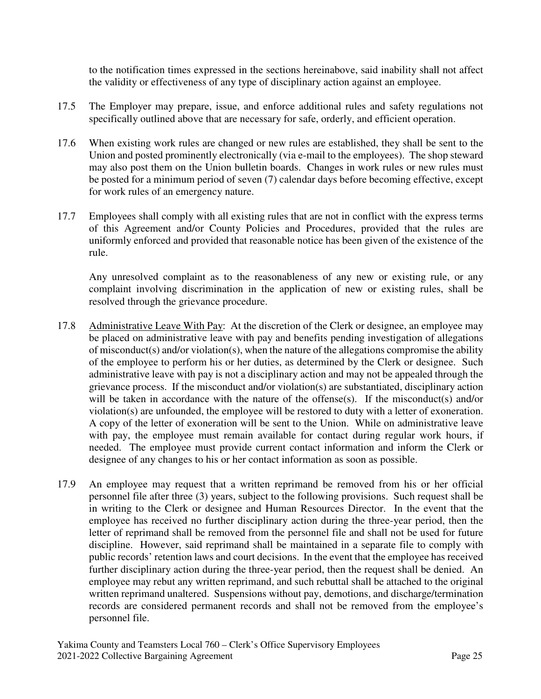to the notification times expressed in the sections hereinabove, said inability shall not affect the validity or effectiveness of any type of disciplinary action against an employee.

- 17.5 The Employer may prepare, issue, and enforce additional rules and safety regulations not specifically outlined above that are necessary for safe, orderly, and efficient operation.
- 17.6 When existing work rules are changed or new rules are established, they shall be sent to the Union and posted prominently electronically (via e-mail to the employees). The shop steward may also post them on the Union bulletin boards. Changes in work rules or new rules must be posted for a minimum period of seven (7) calendar days before becoming effective, except for work rules of an emergency nature.
- 17.7 Employees shall comply with all existing rules that are not in conflict with the express terms of this Agreement and/or County Policies and Procedures, provided that the rules are uniformly enforced and provided that reasonable notice has been given of the existence of the rule.

 Any unresolved complaint as to the reasonableness of any new or existing rule, or any complaint involving discrimination in the application of new or existing rules, shall be resolved through the grievance procedure.

- 17.8 Administrative Leave With Pay: At the discretion of the Clerk or designee, an employee may be placed on administrative leave with pay and benefits pending investigation of allegations of misconduct(s) and/or violation(s), when the nature of the allegations compromise the ability of the employee to perform his or her duties, as determined by the Clerk or designee. Such administrative leave with pay is not a disciplinary action and may not be appealed through the grievance process. If the misconduct and/or violation(s) are substantiated, disciplinary action will be taken in accordance with the nature of the offense(s). If the misconduct(s) and/or violation(s) are unfounded, the employee will be restored to duty with a letter of exoneration. A copy of the letter of exoneration will be sent to the Union. While on administrative leave with pay, the employee must remain available for contact during regular work hours, if needed. The employee must provide current contact information and inform the Clerk or designee of any changes to his or her contact information as soon as possible.
- 17.9 An employee may request that a written reprimand be removed from his or her official personnel file after three (3) years, subject to the following provisions. Such request shall be in writing to the Clerk or designee and Human Resources Director. In the event that the employee has received no further disciplinary action during the three-year period, then the letter of reprimand shall be removed from the personnel file and shall not be used for future discipline. However, said reprimand shall be maintained in a separate file to comply with public records' retention laws and court decisions. In the event that the employee has received further disciplinary action during the three-year period, then the request shall be denied. An employee may rebut any written reprimand, and such rebuttal shall be attached to the original written reprimand unaltered. Suspensions without pay, demotions, and discharge/termination records are considered permanent records and shall not be removed from the employee's personnel file.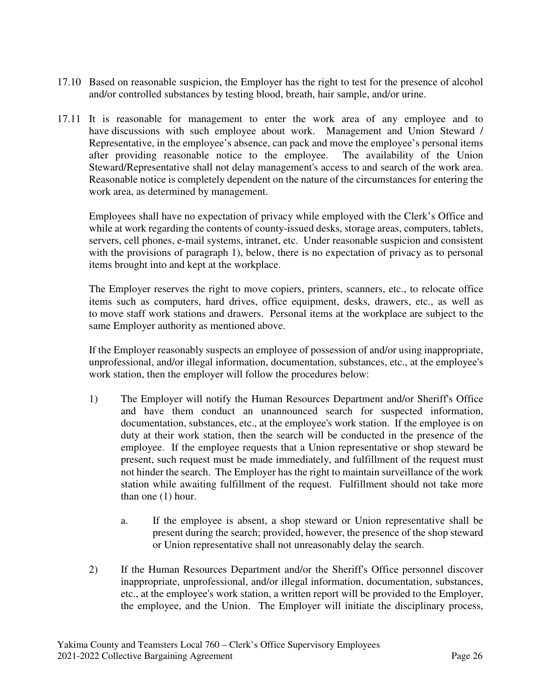- 17.10 Based on reasonable suspicion, the Employer has the right to test for the presence of alcohol and/or controlled substances by testing blood, breath, hair sample, and/or urine.
- 17.11 It is reasonable for management to enter the work area of any employee and to have discussions with such employee about work. Management and Union Steward / Representative, in the employee's absence, can pack and move the employee's personal items after providing reasonable notice to the employee. The availability of the Union Steward/Representative shall not delay management's access to and search of the work area. Reasonable notice is completely dependent on the nature of the circumstances for entering the work area, as determined by management.

Employees shall have no expectation of privacy while employed with the Clerk's Office and while at work regarding the contents of county-issued desks, storage areas, computers, tablets, servers, cell phones, e-mail systems, intranet, etc. Under reasonable suspicion and consistent with the provisions of paragraph 1), below, there is no expectation of privacy as to personal items brought into and kept at the workplace.

The Employer reserves the right to move copiers, printers, scanners, etc., to relocate office items such as computers, hard drives, office equipment, desks, drawers, etc., as well as to move staff work stations and drawers. Personal items at the workplace are subject to the same Employer authority as mentioned above.

If the Employer reasonably suspects an employee of possession of and/or using inappropriate, unprofessional, and/or illegal information, documentation, substances, etc., at the employee's work station, then the employer will follow the procedures below:

- 1) The Employer will notify the Human Resources Department and/or Sheriff's Office and have them conduct an unannounced search for suspected information, documentation, substances, etc., at the employee's work station. If the employee is on duty at their work station, then the search will be conducted in the presence of the employee. If the employee requests that a Union representative or shop steward be present, such request must be made immediately, and fulfillment of the request must not hinder the search. The Employer has the right to maintain surveillance of the work station while awaiting fulfillment of the request. Fulfillment should not take more than one (1) hour.
	- a. If the employee is absent, a shop steward or Union representative shall be present during the search; provided, however, the presence of the shop steward or Union representative shall not unreasonably delay the search.
- 2) If the Human Resources Department and/or the Sheriff's Office personnel discover inappropriate, unprofessional, and/or illegal information, documentation, substances, etc., at the employee's work station, a written report will be provided to the Employer, the employee, and the Union. The Employer will initiate the disciplinary process,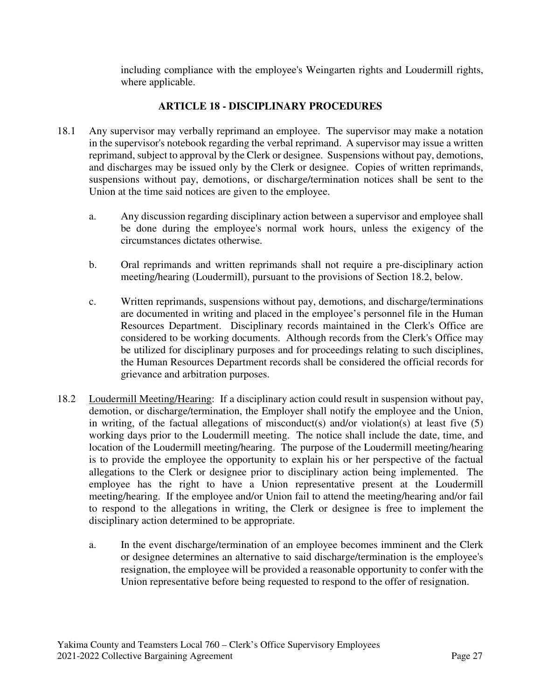including compliance with the employee's Weingarten rights and Loudermill rights, where applicable.

## **ARTICLE 18 - DISCIPLINARY PROCEDURES**

- 18.1 Any supervisor may verbally reprimand an employee. The supervisor may make a notation in the supervisor's notebook regarding the verbal reprimand. A supervisor may issue a written reprimand, subject to approval by the Clerk or designee. Suspensions without pay, demotions, and discharges may be issued only by the Clerk or designee. Copies of written reprimands, suspensions without pay, demotions, or discharge/termination notices shall be sent to the Union at the time said notices are given to the employee.
	- a. Any discussion regarding disciplinary action between a supervisor and employee shall be done during the employee's normal work hours, unless the exigency of the circumstances dictates otherwise.
	- b. Oral reprimands and written reprimands shall not require a pre-disciplinary action meeting/hearing (Loudermill), pursuant to the provisions of Section 18.2, below.
	- c. Written reprimands, suspensions without pay, demotions, and discharge/terminations are documented in writing and placed in the employee's personnel file in the Human Resources Department. Disciplinary records maintained in the Clerk's Office are considered to be working documents. Although records from the Clerk's Office may be utilized for disciplinary purposes and for proceedings relating to such disciplines, the Human Resources Department records shall be considered the official records for grievance and arbitration purposes.
- 18.2 Loudermill Meeting/Hearing: If a disciplinary action could result in suspension without pay, demotion, or discharge/termination, the Employer shall notify the employee and the Union, in writing, of the factual allegations of misconduct(s) and/or violation(s) at least five (5) working days prior to the Loudermill meeting. The notice shall include the date, time, and location of the Loudermill meeting/hearing. The purpose of the Loudermill meeting/hearing is to provide the employee the opportunity to explain his or her perspective of the factual allegations to the Clerk or designee prior to disciplinary action being implemented. The employee has the right to have a Union representative present at the Loudermill meeting/hearing. If the employee and/or Union fail to attend the meeting/hearing and/or fail to respond to the allegations in writing, the Clerk or designee is free to implement the disciplinary action determined to be appropriate.
	- a. In the event discharge/termination of an employee becomes imminent and the Clerk or designee determines an alternative to said discharge/termination is the employee's resignation, the employee will be provided a reasonable opportunity to confer with the Union representative before being requested to respond to the offer of resignation.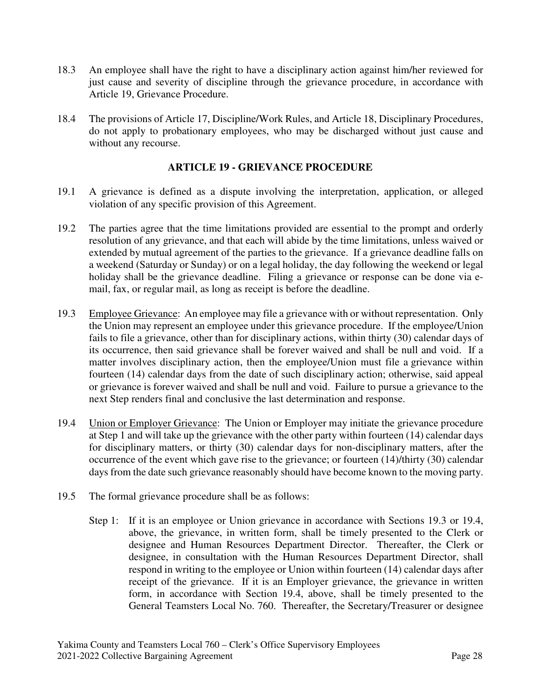- 18.3 An employee shall have the right to have a disciplinary action against him/her reviewed for just cause and severity of discipline through the grievance procedure, in accordance with Article 19, Grievance Procedure.
- 18.4 The provisions of Article 17, Discipline/Work Rules, and Article 18, Disciplinary Procedures, do not apply to probationary employees, who may be discharged without just cause and without any recourse.

## **ARTICLE 19 - GRIEVANCE PROCEDURE**

- 19.1 A grievance is defined as a dispute involving the interpretation, application, or alleged violation of any specific provision of this Agreement.
- 19.2 The parties agree that the time limitations provided are essential to the prompt and orderly resolution of any grievance, and that each will abide by the time limitations, unless waived or extended by mutual agreement of the parties to the grievance. If a grievance deadline falls on a weekend (Saturday or Sunday) or on a legal holiday, the day following the weekend or legal holiday shall be the grievance deadline. Filing a grievance or response can be done via email, fax, or regular mail, as long as receipt is before the deadline.
- 19.3 Employee Grievance: An employee may file a grievance with or without representation. Only the Union may represent an employee under this grievance procedure. If the employee/Union fails to file a grievance, other than for disciplinary actions, within thirty (30) calendar days of its occurrence, then said grievance shall be forever waived and shall be null and void. If a matter involves disciplinary action, then the employee/Union must file a grievance within fourteen (14) calendar days from the date of such disciplinary action; otherwise, said appeal or grievance is forever waived and shall be null and void. Failure to pursue a grievance to the next Step renders final and conclusive the last determination and response.
- 19.4 Union or Employer Grievance: The Union or Employer may initiate the grievance procedure at Step 1 and will take up the grievance with the other party within fourteen (14) calendar days for disciplinary matters, or thirty (30) calendar days for non-disciplinary matters, after the occurrence of the event which gave rise to the grievance; or fourteen (14)/thirty (30) calendar days from the date such grievance reasonably should have become known to the moving party.
- 19.5 The formal grievance procedure shall be as follows:
	- Step 1: If it is an employee or Union grievance in accordance with Sections 19.3 or 19.4, above, the grievance, in written form, shall be timely presented to the Clerk or designee and Human Resources Department Director. Thereafter, the Clerk or designee, in consultation with the Human Resources Department Director, shall respond in writing to the employee or Union within fourteen (14) calendar days after receipt of the grievance. If it is an Employer grievance, the grievance in written form, in accordance with Section 19.4, above, shall be timely presented to the General Teamsters Local No. 760. Thereafter, the Secretary/Treasurer or designee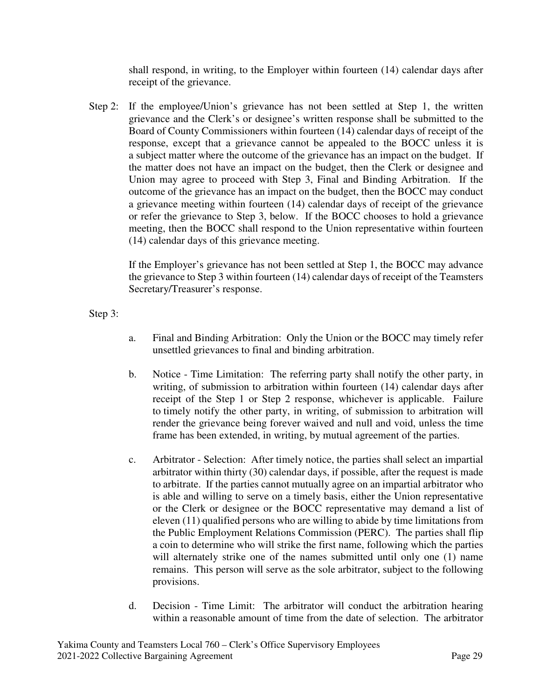shall respond, in writing, to the Employer within fourteen (14) calendar days after receipt of the grievance.

Step 2: If the employee/Union's grievance has not been settled at Step 1, the written grievance and the Clerk's or designee's written response shall be submitted to the Board of County Commissioners within fourteen (14) calendar days of receipt of the response, except that a grievance cannot be appealed to the BOCC unless it is a subject matter where the outcome of the grievance has an impact on the budget. If the matter does not have an impact on the budget, then the Clerk or designee and Union may agree to proceed with Step 3, Final and Binding Arbitration. If the outcome of the grievance has an impact on the budget, then the BOCC may conduct a grievance meeting within fourteen (14) calendar days of receipt of the grievance or refer the grievance to Step 3, below. If the BOCC chooses to hold a grievance meeting, then the BOCC shall respond to the Union representative within fourteen (14) calendar days of this grievance meeting.

If the Employer's grievance has not been settled at Step 1, the BOCC may advance the grievance to Step 3 within fourteen (14) calendar days of receipt of the Teamsters Secretary/Treasurer's response.

Step 3:

- a. Final and Binding Arbitration: Only the Union or the BOCC may timely refer unsettled grievances to final and binding arbitration.
- b. Notice Time Limitation: The referring party shall notify the other party, in writing, of submission to arbitration within fourteen (14) calendar days after receipt of the Step 1 or Step 2 response, whichever is applicable. Failure to timely notify the other party, in writing, of submission to arbitration will render the grievance being forever waived and null and void, unless the time frame has been extended, in writing, by mutual agreement of the parties.
- c. Arbitrator Selection: After timely notice, the parties shall select an impartial arbitrator within thirty (30) calendar days, if possible, after the request is made to arbitrate. If the parties cannot mutually agree on an impartial arbitrator who is able and willing to serve on a timely basis, either the Union representative or the Clerk or designee or the BOCC representative may demand a list of eleven (11) qualified persons who are willing to abide by time limitations from the Public Employment Relations Commission (PERC). The parties shall flip a coin to determine who will strike the first name, following which the parties will alternately strike one of the names submitted until only one (1) name remains. This person will serve as the sole arbitrator, subject to the following provisions.
- d. Decision Time Limit: The arbitrator will conduct the arbitration hearing within a reasonable amount of time from the date of selection. The arbitrator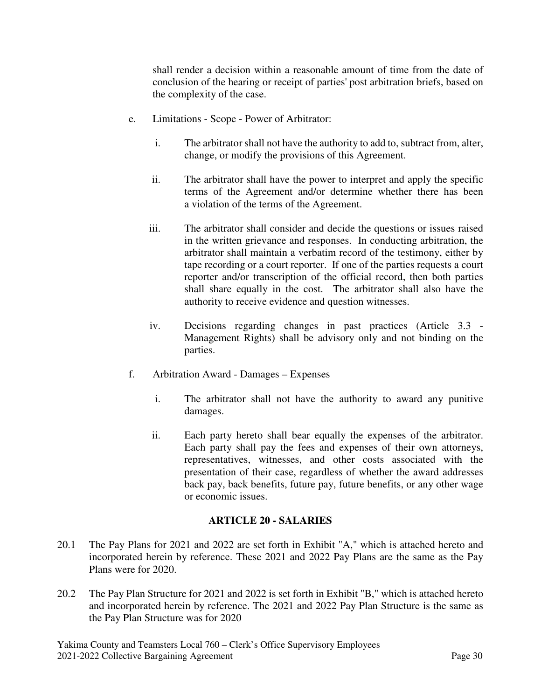shall render a decision within a reasonable amount of time from the date of conclusion of the hearing or receipt of parties' post arbitration briefs, based on the complexity of the case.

- e. Limitations Scope Power of Arbitrator:
	- i. The arbitrator shall not have the authority to add to, subtract from, alter, change, or modify the provisions of this Agreement.
	- ii. The arbitrator shall have the power to interpret and apply the specific terms of the Agreement and/or determine whether there has been a violation of the terms of the Agreement.
	- iii. The arbitrator shall consider and decide the questions or issues raised in the written grievance and responses. In conducting arbitration, the arbitrator shall maintain a verbatim record of the testimony, either by tape recording or a court reporter. If one of the parties requests a court reporter and/or transcription of the official record, then both parties shall share equally in the cost. The arbitrator shall also have the authority to receive evidence and question witnesses.
	- iv. Decisions regarding changes in past practices (Article 3.3 Management Rights) shall be advisory only and not binding on the parties.
- f. Arbitration Award Damages Expenses
	- i. The arbitrator shall not have the authority to award any punitive damages.
	- ii. Each party hereto shall bear equally the expenses of the arbitrator. Each party shall pay the fees and expenses of their own attorneys, representatives, witnesses, and other costs associated with the presentation of their case, regardless of whether the award addresses back pay, back benefits, future pay, future benefits, or any other wage or economic issues.

## **ARTICLE 20 - SALARIES**

- 20.1 The Pay Plans for 2021 and 2022 are set forth in Exhibit "A," which is attached hereto and incorporated herein by reference. These 2021 and 2022 Pay Plans are the same as the Pay Plans were for 2020.
- 20.2 The Pay Plan Structure for 2021 and 2022 is set forth in Exhibit "B," which is attached hereto and incorporated herein by reference. The 2021 and 2022 Pay Plan Structure is the same as the Pay Plan Structure was for 2020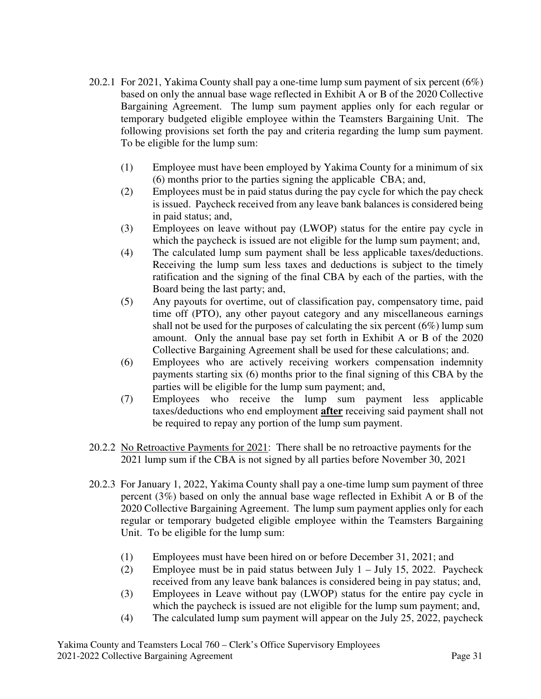- 20.2.1For 2021, Yakima County shall pay a one-time lump sum payment of six percent (6%) based on only the annual base wage reflected in Exhibit A or B of the 2020 Collective Bargaining Agreement. The lump sum payment applies only for each regular or temporary budgeted eligible employee within the Teamsters Bargaining Unit. The following provisions set forth the pay and criteria regarding the lump sum payment. To be eligible for the lump sum:
	- (1) Employee must have been employed by Yakima County for a minimum of six (6) months prior to the parties signing the applicable CBA; and,
	- (2) Employees must be in paid status during the pay cycle for which the pay check is issued. Paycheck received from any leave bank balances is considered being in paid status; and,
	- (3) Employees on leave without pay (LWOP) status for the entire pay cycle in which the paycheck is issued are not eligible for the lump sum payment; and,
	- (4) The calculated lump sum payment shall be less applicable taxes/deductions. Receiving the lump sum less taxes and deductions is subject to the timely ratification and the signing of the final CBA by each of the parties, with the Board being the last party; and,
	- (5) Any payouts for overtime, out of classification pay, compensatory time, paid time off (PTO), any other payout category and any miscellaneous earnings shall not be used for the purposes of calculating the six percent  $(6\%)$  lump sum amount. Only the annual base pay set forth in Exhibit A or B of the 2020 Collective Bargaining Agreement shall be used for these calculations; and.
	- (6) Employees who are actively receiving workers compensation indemnity payments starting six (6) months prior to the final signing of this CBA by the parties will be eligible for the lump sum payment; and,
	- (7) Employees who receive the lump sum payment less applicable taxes/deductions who end employment **after** receiving said payment shall not be required to repay any portion of the lump sum payment.
- 20.2.2 No Retroactive Payments for 2021: There shall be no retroactive payments for the 2021 lump sum if the CBA is not signed by all parties before November 30, 2021
- 20.2.3 For January 1, 2022, Yakima County shall pay a one-time lump sum payment of three percent (3%) based on only the annual base wage reflected in Exhibit A or B of the 2020 Collective Bargaining Agreement. The lump sum payment applies only for each regular or temporary budgeted eligible employee within the Teamsters Bargaining Unit. To be eligible for the lump sum:
	- (1) Employees must have been hired on or before December 31, 2021; and
	- (2) Employee must be in paid status between July 1 July 15, 2022. Paycheck received from any leave bank balances is considered being in pay status; and,
	- (3) Employees in Leave without pay (LWOP) status for the entire pay cycle in which the paycheck is issued are not eligible for the lump sum payment; and,
	- (4) The calculated lump sum payment will appear on the July 25, 2022, paycheck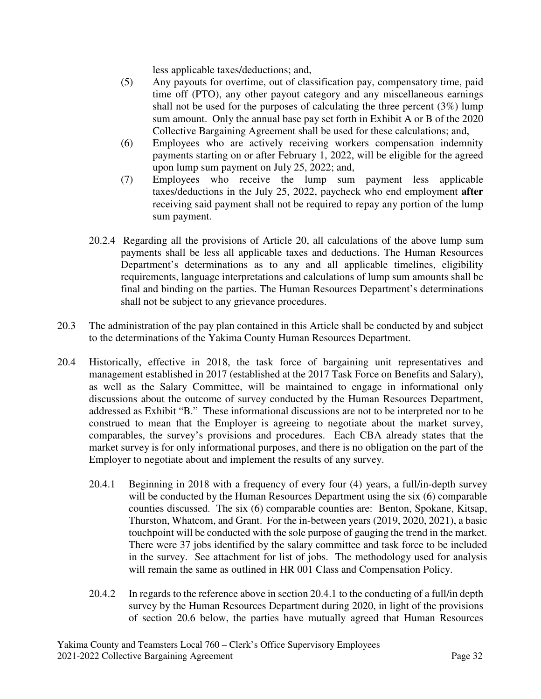less applicable taxes/deductions; and,

- (5) Any payouts for overtime, out of classification pay, compensatory time, paid time off (PTO), any other payout category and any miscellaneous earnings shall not be used for the purposes of calculating the three percent (3%) lump sum amount. Only the annual base pay set forth in Exhibit A or B of the 2020 Collective Bargaining Agreement shall be used for these calculations; and,
- (6) Employees who are actively receiving workers compensation indemnity payments starting on or after February 1, 2022, will be eligible for the agreed upon lump sum payment on July 25, 2022; and,
- (7) Employees who receive the lump sum payment less applicable taxes/deductions in the July 25, 2022, paycheck who end employment **after**  receiving said payment shall not be required to repay any portion of the lump sum payment.
- 20.2.4 Regarding all the provisions of Article 20, all calculations of the above lump sum payments shall be less all applicable taxes and deductions. The Human Resources Department's determinations as to any and all applicable timelines, eligibility requirements, language interpretations and calculations of lump sum amounts shall be final and binding on the parties. The Human Resources Department's determinations shall not be subject to any grievance procedures.
- 20.3 The administration of the pay plan contained in this Article shall be conducted by and subject to the determinations of the Yakima County Human Resources Department.
- 20.4 Historically, effective in 2018, the task force of bargaining unit representatives and management established in 2017 (established at the 2017 Task Force on Benefits and Salary), as well as the Salary Committee, will be maintained to engage in informational only discussions about the outcome of survey conducted by the Human Resources Department, addressed as Exhibit "B." These informational discussions are not to be interpreted nor to be construed to mean that the Employer is agreeing to negotiate about the market survey, comparables, the survey's provisions and procedures. Each CBA already states that the market survey is for only informational purposes, and there is no obligation on the part of the Employer to negotiate about and implement the results of any survey.
	- 20.4.1 Beginning in 2018 with a frequency of every four (4) years, a full/in-depth survey will be conducted by the Human Resources Department using the six (6) comparable counties discussed. The six (6) comparable counties are: Benton, Spokane, Kitsap, Thurston, Whatcom, and Grant. For the in-between years (2019, 2020, 2021), a basic touchpoint will be conducted with the sole purpose of gauging the trend in the market. There were 37 jobs identified by the salary committee and task force to be included in the survey. See attachment for list of jobs. The methodology used for analysis will remain the same as outlined in HR 001 Class and Compensation Policy.
	- 20.4.2 In regards to the reference above in section 20.4.1 to the conducting of a full/in depth survey by the Human Resources Department during 2020, in light of the provisions of section 20.6 below, the parties have mutually agreed that Human Resources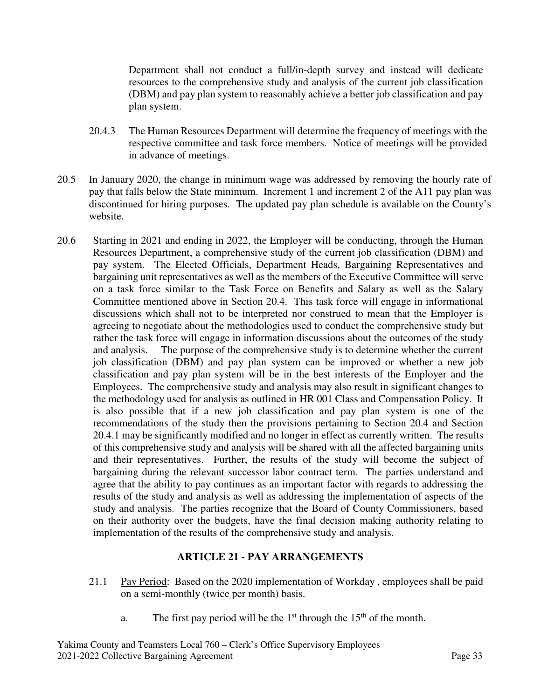Department shall not conduct a full/in-depth survey and instead will dedicate resources to the comprehensive study and analysis of the current job classification (DBM) and pay plan system to reasonably achieve a better job classification and pay plan system.

- 20.4.3 The Human Resources Department will determine the frequency of meetings with the respective committee and task force members. Notice of meetings will be provided in advance of meetings.
- 20.5 In January 2020, the change in minimum wage was addressed by removing the hourly rate of pay that falls below the State minimum. Increment 1 and increment 2 of the A11 pay plan was discontinued for hiring purposes. The updated pay plan schedule is available on the County's website.
- 20.6 Starting in 2021 and ending in 2022, the Employer will be conducting, through the Human Resources Department, a comprehensive study of the current job classification (DBM) and pay system. The Elected Officials, Department Heads, Bargaining Representatives and bargaining unit representatives as well as the members of the Executive Committee will serve on a task force similar to the Task Force on Benefits and Salary as well as the Salary Committee mentioned above in Section 20.4. This task force will engage in informational discussions which shall not to be interpreted nor construed to mean that the Employer is agreeing to negotiate about the methodologies used to conduct the comprehensive study but rather the task force will engage in information discussions about the outcomes of the study and analysis. The purpose of the comprehensive study is to determine whether the current job classification (DBM) and pay plan system can be improved or whether a new job classification and pay plan system will be in the best interests of the Employer and the Employees. The comprehensive study and analysis may also result in significant changes to the methodology used for analysis as outlined in HR 001 Class and Compensation Policy. It is also possible that if a new job classification and pay plan system is one of the recommendations of the study then the provisions pertaining to Section 20.4 and Section 20.4.1 may be significantly modified and no longer in effect as currently written. The results of this comprehensive study and analysis will be shared with all the affected bargaining units and their representatives. Further, the results of the study will become the subject of bargaining during the relevant successor labor contract term. The parties understand and agree that the ability to pay continues as an important factor with regards to addressing the results of the study and analysis as well as addressing the implementation of aspects of the study and analysis. The parties recognize that the Board of County Commissioners, based on their authority over the budgets, have the final decision making authority relating to implementation of the results of the comprehensive study and analysis.

#### **ARTICLE 21 - PAY ARRANGEMENTS**

- 21.1 Pay Period:Based on the 2020 implementation of Workday , employees shall be paid on a semi-monthly (twice per month) basis.
	- a. The first pay period will be the  $1<sup>st</sup>$  through the  $15<sup>th</sup>$  of the month.

Yakima County and Teamsters Local 760 – Clerk's Office Supervisory Employees 2021-2022 Collective Bargaining Agreement Page 33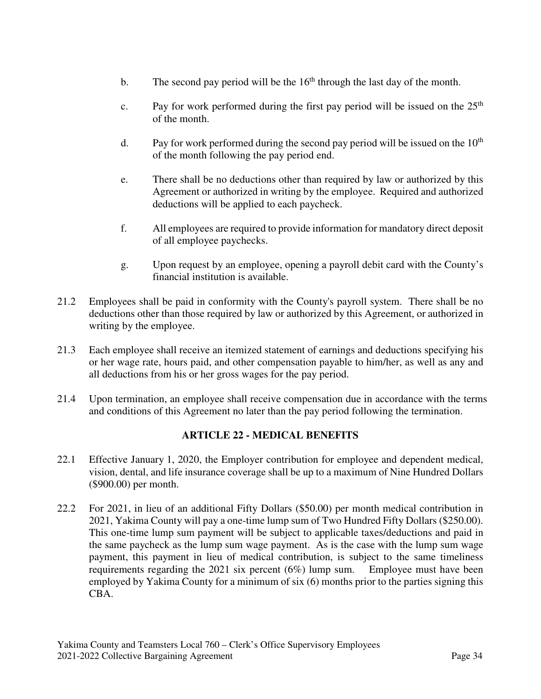- b. The second pay period will be the  $16<sup>th</sup>$  through the last day of the month.
- c. Pay for work performed during the first pay period will be issued on the  $25<sup>th</sup>$ of the month.
- d. Pay for work performed during the second pay period will be issued on the  $10<sup>th</sup>$ of the month following the pay period end.
- e. There shall be no deductions other than required by law or authorized by this Agreement or authorized in writing by the employee. Required and authorized deductions will be applied to each paycheck.
- f. All employees are required to provide information for mandatory direct deposit of all employee paychecks.
- g. Upon request by an employee, opening a payroll debit card with the County's financial institution is available.
- 21.2 Employees shall be paid in conformity with the County's payroll system. There shall be no deductions other than those required by law or authorized by this Agreement, or authorized in writing by the employee.
- 21.3 Each employee shall receive an itemized statement of earnings and deductions specifying his or her wage rate, hours paid, and other compensation payable to him/her, as well as any and all deductions from his or her gross wages for the pay period.
- 21.4 Upon termination, an employee shall receive compensation due in accordance with the terms and conditions of this Agreement no later than the pay period following the termination.

## **ARTICLE 22 - MEDICAL BENEFITS**

- 22.1 Effective January 1, 2020, the Employer contribution for employee and dependent medical, vision, dental, and life insurance coverage shall be up to a maximum of Nine Hundred Dollars (\$900.00) per month.
- 22.2 For 2021, in lieu of an additional Fifty Dollars (\$50.00) per month medical contribution in 2021, Yakima County will pay a one-time lump sum of Two Hundred Fifty Dollars (\$250.00). This one-time lump sum payment will be subject to applicable taxes/deductions and paid in the same paycheck as the lump sum wage payment. As is the case with the lump sum wage payment, this payment in lieu of medical contribution, is subject to the same timeliness requirements regarding the 2021 six percent (6%) lump sum. Employee must have been employed by Yakima County for a minimum of six (6) months prior to the parties signing this CBA.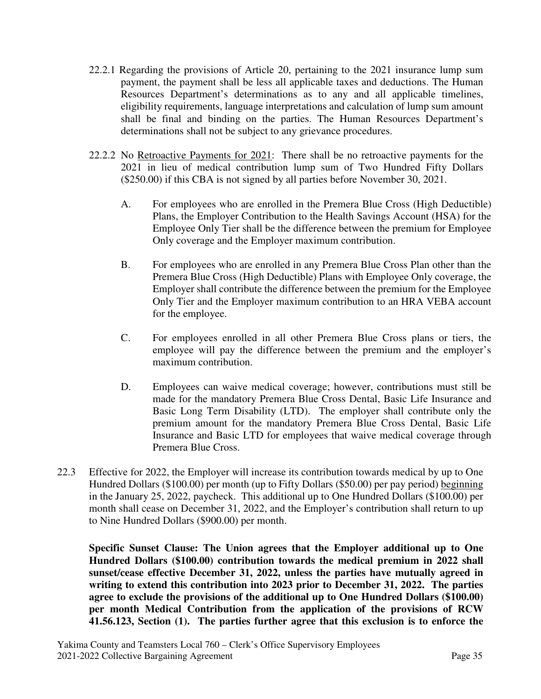- 22.2.1 Regarding the provisions of Article 20, pertaining to the 2021 insurance lump sum payment, the payment shall be less all applicable taxes and deductions. The Human Resources Department's determinations as to any and all applicable timelines, eligibility requirements, language interpretations and calculation of lump sum amount shall be final and binding on the parties. The Human Resources Department's determinations shall not be subject to any grievance procedures.
- 22.2.2 No Retroactive Payments for 2021: There shall be no retroactive payments for the 2021 in lieu of medical contribution lump sum of Two Hundred Fifty Dollars (\$250.00) if this CBA is not signed by all parties before November 30, 2021.
	- A. For employees who are enrolled in the Premera Blue Cross (High Deductible) Plans, the Employer Contribution to the Health Savings Account (HSA) for the Employee Only Tier shall be the difference between the premium for Employee Only coverage and the Employer maximum contribution.
	- B. For employees who are enrolled in any Premera Blue Cross Plan other than the Premera Blue Cross (High Deductible) Plans with Employee Only coverage, the Employer shall contribute the difference between the premium for the Employee Only Tier and the Employer maximum contribution to an HRA VEBA account for the employee.
	- C. For employees enrolled in all other Premera Blue Cross plans or tiers, the employee will pay the difference between the premium and the employer's maximum contribution.
	- D. Employees can waive medical coverage; however, contributions must still be made for the mandatory Premera Blue Cross Dental, Basic Life Insurance and Basic Long Term Disability (LTD). The employer shall contribute only the premium amount for the mandatory Premera Blue Cross Dental, Basic Life Insurance and Basic LTD for employees that waive medical coverage through Premera Blue Cross.
- 22.3 Effective for 2022, the Employer will increase its contribution towards medical by up to One Hundred Dollars (\$100.00) per month (up to Fifty Dollars (\$50.00) per pay period) beginning in the January 25, 2022, paycheck. This additional up to One Hundred Dollars (\$100.00) per month shall cease on December 31, 2022, and the Employer's contribution shall return to up to Nine Hundred Dollars (\$900.00) per month.

**Specific Sunset Clause: The Union agrees that the Employer additional up to One Hundred Dollars (\$100.00) contribution towards the medical premium in 2022 shall sunset/cease effective December 31, 2022, unless the parties have mutually agreed in writing to extend this contribution into 2023 prior to December 31, 2022. The parties agree to exclude the provisions of the additional up to One Hundred Dollars (\$100.00) per month Medical Contribution from the application of the provisions of RCW 41.56.123, Section (1). The parties further agree that this exclusion is to enforce the**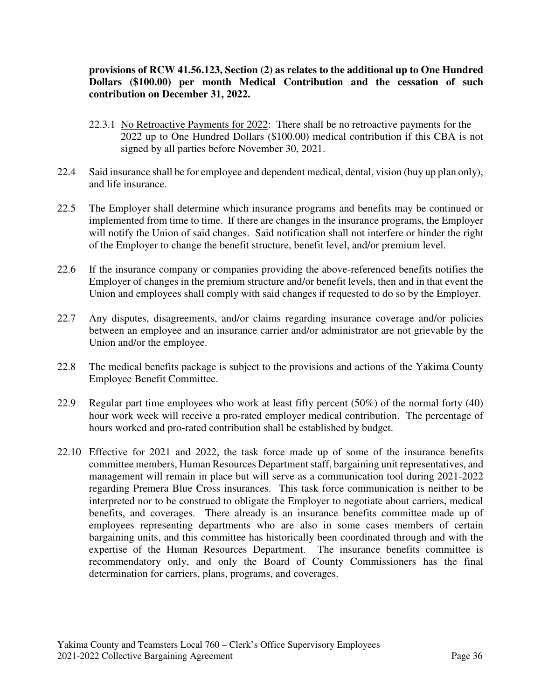#### **provisions of RCW 41.56.123, Section (2) as relates to the additional up to One Hundred Dollars (\$100.00) per month Medical Contribution and the cessation of such contribution on December 31, 2022.**

- 22.3.1 No Retroactive Payments for 2022: There shall be no retroactive payments for the 2022 up to One Hundred Dollars (\$100.00) medical contribution if this CBA is not signed by all parties before November 30, 2021.
- 22.4 Said insurance shall be for employee and dependent medical, dental, vision (buy up plan only), and life insurance.
- 22.5 The Employer shall determine which insurance programs and benefits may be continued or implemented from time to time. If there are changes in the insurance programs, the Employer will notify the Union of said changes. Said notification shall not interfere or hinder the right of the Employer to change the benefit structure, benefit level, and/or premium level.
- 22.6 If the insurance company or companies providing the above-referenced benefits notifies the Employer of changes in the premium structure and/or benefit levels, then and in that event the Union and employees shall comply with said changes if requested to do so by the Employer.
- 22.7 Any disputes, disagreements, and/or claims regarding insurance coverage and/or policies between an employee and an insurance carrier and/or administrator are not grievable by the Union and/or the employee.
- 22.8 The medical benefits package is subject to the provisions and actions of the Yakima County Employee Benefit Committee.
- 22.9 Regular part time employees who work at least fifty percent (50%) of the normal forty (40) hour work week will receive a pro-rated employer medical contribution. The percentage of hours worked and pro-rated contribution shall be established by budget.
- 22.10 Effective for 2021 and 2022, the task force made up of some of the insurance benefits committee members, Human Resources Department staff, bargaining unit representatives, and management will remain in place but will serve as a communication tool during 2021-2022 regarding Premera Blue Cross insurances. This task force communication is neither to be interpreted nor to be construed to obligate the Employer to negotiate about carriers, medical benefits, and coverages. There already is an insurance benefits committee made up of employees representing departments who are also in some cases members of certain bargaining units, and this committee has historically been coordinated through and with the expertise of the Human Resources Department. The insurance benefits committee is recommendatory only, and only the Board of County Commissioners has the final determination for carriers, plans, programs, and coverages.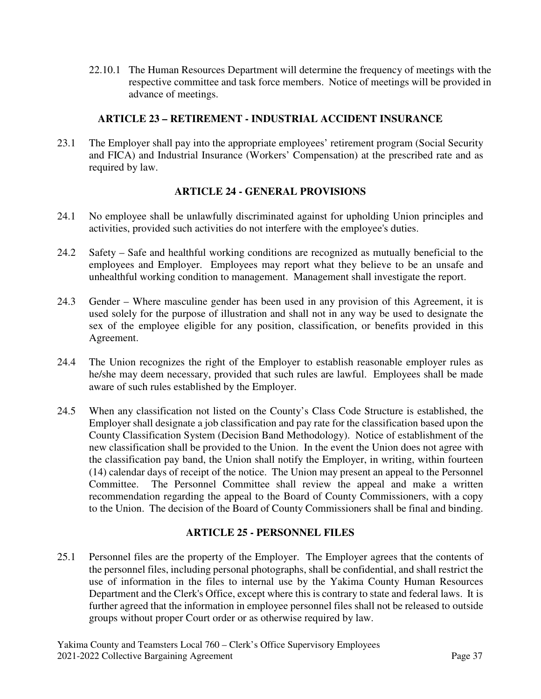22.10.1 The Human Resources Department will determine the frequency of meetings with the respective committee and task force members. Notice of meetings will be provided in advance of meetings.

## **ARTICLE 23 – RETIREMENT - INDUSTRIAL ACCIDENT INSURANCE**

23.1 The Employer shall pay into the appropriate employees' retirement program (Social Security and FICA) and Industrial Insurance (Workers' Compensation) at the prescribed rate and as required by law.

# **ARTICLE 24 - GENERAL PROVISIONS**

- 24.1 No employee shall be unlawfully discriminated against for upholding Union principles and activities, provided such activities do not interfere with the employee's duties.
- 24.2 Safety Safe and healthful working conditions are recognized as mutually beneficial to the employees and Employer. Employees may report what they believe to be an unsafe and unhealthful working condition to management. Management shall investigate the report.
- 24.3 Gender Where masculine gender has been used in any provision of this Agreement, it is used solely for the purpose of illustration and shall not in any way be used to designate the sex of the employee eligible for any position, classification, or benefits provided in this Agreement.
- 24.4 The Union recognizes the right of the Employer to establish reasonable employer rules as he/she may deem necessary, provided that such rules are lawful. Employees shall be made aware of such rules established by the Employer.
- 24.5 When any classification not listed on the County's Class Code Structure is established, the Employer shall designate a job classification and pay rate for the classification based upon the County Classification System (Decision Band Methodology). Notice of establishment of the new classification shall be provided to the Union. In the event the Union does not agree with the classification pay band, the Union shall notify the Employer, in writing, within fourteen (14) calendar days of receipt of the notice. The Union may present an appeal to the Personnel Committee. The Personnel Committee shall review the appeal and make a written recommendation regarding the appeal to the Board of County Commissioners, with a copy to the Union. The decision of the Board of County Commissioners shall be final and binding.

# **ARTICLE 25 - PERSONNEL FILES**

25.1 Personnel files are the property of the Employer. The Employer agrees that the contents of the personnel files, including personal photographs, shall be confidential, and shall restrict the use of information in the files to internal use by the Yakima County Human Resources Department and the Clerk's Office, except where this is contrary to state and federal laws. It is further agreed that the information in employee personnel files shall not be released to outside groups without proper Court order or as otherwise required by law.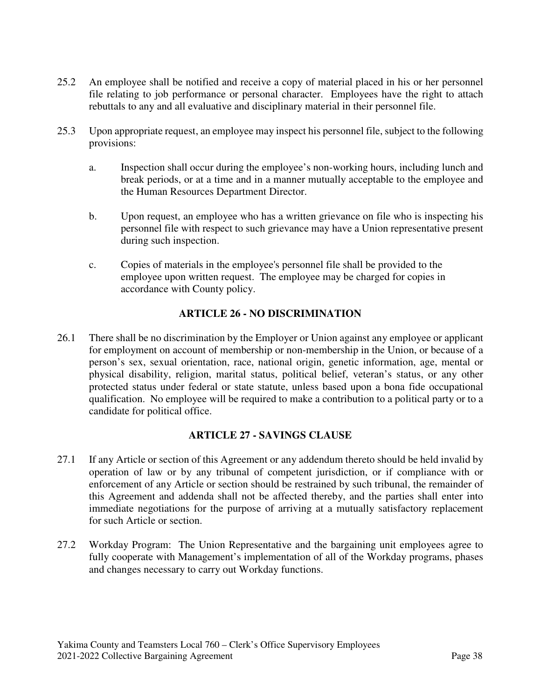- 25.2 An employee shall be notified and receive a copy of material placed in his or her personnel file relating to job performance or personal character. Employees have the right to attach rebuttals to any and all evaluative and disciplinary material in their personnel file.
- 25.3 Upon appropriate request, an employee may inspect his personnel file, subject to the following provisions:
	- a. Inspection shall occur during the employee's non-working hours, including lunch and break periods, or at a time and in a manner mutually acceptable to the employee and the Human Resources Department Director.
	- b. Upon request, an employee who has a written grievance on file who is inspecting his personnel file with respect to such grievance may have a Union representative present during such inspection.
	- c. Copies of materials in the employee's personnel file shall be provided to the employee upon written request. The employee may be charged for copies in accordance with County policy.

# **ARTICLE 26 - NO DISCRIMINATION**

26.1 There shall be no discrimination by the Employer or Union against any employee or applicant for employment on account of membership or non-membership in the Union, or because of a person's sex, sexual orientation, race, national origin, genetic information, age, mental or physical disability, religion, marital status, political belief, veteran's status, or any other protected status under federal or state statute, unless based upon a bona fide occupational qualification. No employee will be required to make a contribution to a political party or to a candidate for political office.

## **ARTICLE 27 - SAVINGS CLAUSE**

- 27.1 If any Article or section of this Agreement or any addendum thereto should be held invalid by operation of law or by any tribunal of competent jurisdiction, or if compliance with or enforcement of any Article or section should be restrained by such tribunal, the remainder of this Agreement and addenda shall not be affected thereby, and the parties shall enter into immediate negotiations for the purpose of arriving at a mutually satisfactory replacement for such Article or section.
- 27.2 Workday Program: The Union Representative and the bargaining unit employees agree to fully cooperate with Management's implementation of all of the Workday programs, phases and changes necessary to carry out Workday functions.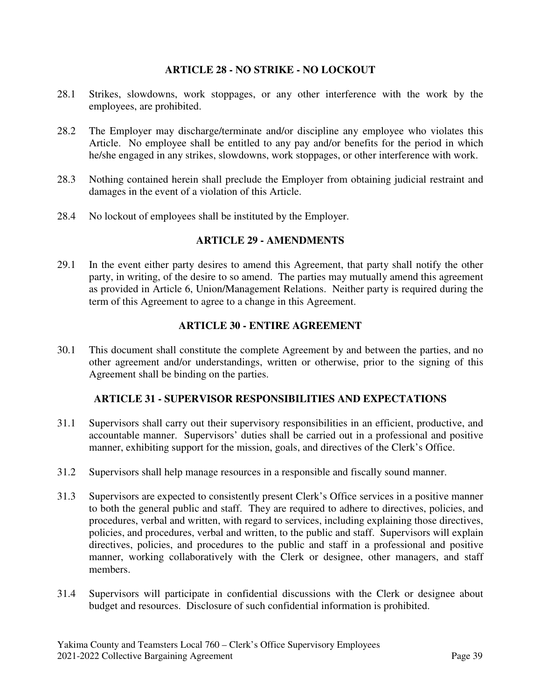#### **ARTICLE 28 - NO STRIKE - NO LOCKOUT**

- 28.1 Strikes, slowdowns, work stoppages, or any other interference with the work by the employees, are prohibited.
- 28.2 The Employer may discharge/terminate and/or discipline any employee who violates this Article. No employee shall be entitled to any pay and/or benefits for the period in which he/she engaged in any strikes, slowdowns, work stoppages, or other interference with work.
- 28.3 Nothing contained herein shall preclude the Employer from obtaining judicial restraint and damages in the event of a violation of this Article.
- 28.4 No lockout of employees shall be instituted by the Employer.

## **ARTICLE 29 - AMENDMENTS**

29.1 In the event either party desires to amend this Agreement, that party shall notify the other party, in writing, of the desire to so amend. The parties may mutually amend this agreement as provided in Article 6, Union/Management Relations. Neither party is required during the term of this Agreement to agree to a change in this Agreement.

#### **ARTICLE 30 - ENTIRE AGREEMENT**

30.1 This document shall constitute the complete Agreement by and between the parties, and no other agreement and/or understandings, written or otherwise, prior to the signing of this Agreement shall be binding on the parties.

## **ARTICLE 31 - SUPERVISOR RESPONSIBILITIES AND EXPECTATIONS**

- 31.1 Supervisors shall carry out their supervisory responsibilities in an efficient, productive, and accountable manner. Supervisors' duties shall be carried out in a professional and positive manner, exhibiting support for the mission, goals, and directives of the Clerk's Office.
- 31.2 Supervisors shall help manage resources in a responsible and fiscally sound manner.
- 31.3 Supervisors are expected to consistently present Clerk's Office services in a positive manner to both the general public and staff. They are required to adhere to directives, policies, and procedures, verbal and written, with regard to services, including explaining those directives, policies, and procedures, verbal and written, to the public and staff. Supervisors will explain directives, policies, and procedures to the public and staff in a professional and positive manner, working collaboratively with the Clerk or designee, other managers, and staff members.
- 31.4 Supervisors will participate in confidential discussions with the Clerk or designee about budget and resources. Disclosure of such confidential information is prohibited.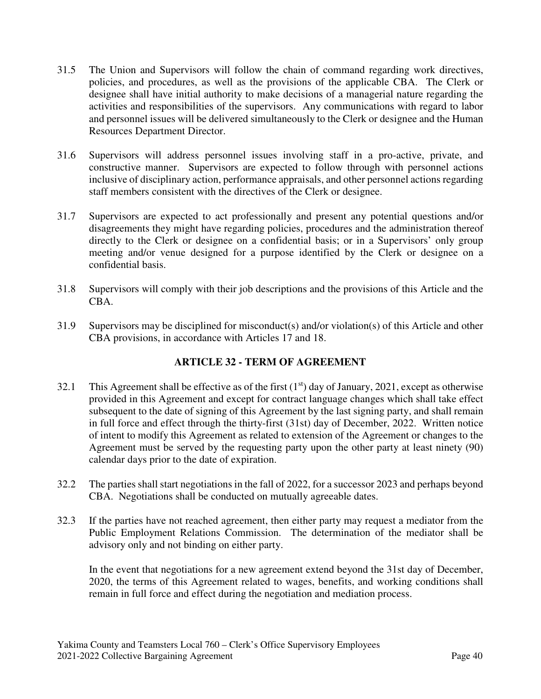- 31.5 The Union and Supervisors will follow the chain of command regarding work directives, policies, and procedures, as well as the provisions of the applicable CBA. The Clerk or designee shall have initial authority to make decisions of a managerial nature regarding the activities and responsibilities of the supervisors. Any communications with regard to labor and personnel issues will be delivered simultaneously to the Clerk or designee and the Human Resources Department Director.
- 31.6 Supervisors will address personnel issues involving staff in a pro-active, private, and constructive manner. Supervisors are expected to follow through with personnel actions inclusive of disciplinary action, performance appraisals, and other personnel actions regarding staff members consistent with the directives of the Clerk or designee.
- 31.7 Supervisors are expected to act professionally and present any potential questions and/or disagreements they might have regarding policies, procedures and the administration thereof directly to the Clerk or designee on a confidential basis; or in a Supervisors' only group meeting and/or venue designed for a purpose identified by the Clerk or designee on a confidential basis.
- 31.8 Supervisors will comply with their job descriptions and the provisions of this Article and the CBA.
- 31.9 Supervisors may be disciplined for misconduct(s) and/or violation(s) of this Article and other CBA provisions, in accordance with Articles 17 and 18.

# **ARTICLE 32 - TERM OF AGREEMENT**

- 32.1 This Agreement shall be effective as of the first  $(1<sup>st</sup>)$  day of January, 2021, except as otherwise provided in this Agreement and except for contract language changes which shall take effect subsequent to the date of signing of this Agreement by the last signing party, and shall remain in full force and effect through the thirty-first (31st) day of December, 2022. Written notice of intent to modify this Agreement as related to extension of the Agreement or changes to the Agreement must be served by the requesting party upon the other party at least ninety (90) calendar days prior to the date of expiration.
- 32.2 The parties shall start negotiations in the fall of 2022, for a successor 2023 and perhaps beyond CBA. Negotiations shall be conducted on mutually agreeable dates.
- 32.3 If the parties have not reached agreement, then either party may request a mediator from the Public Employment Relations Commission. The determination of the mediator shall be advisory only and not binding on either party.

In the event that negotiations for a new agreement extend beyond the 31st day of December, 2020, the terms of this Agreement related to wages, benefits, and working conditions shall remain in full force and effect during the negotiation and mediation process.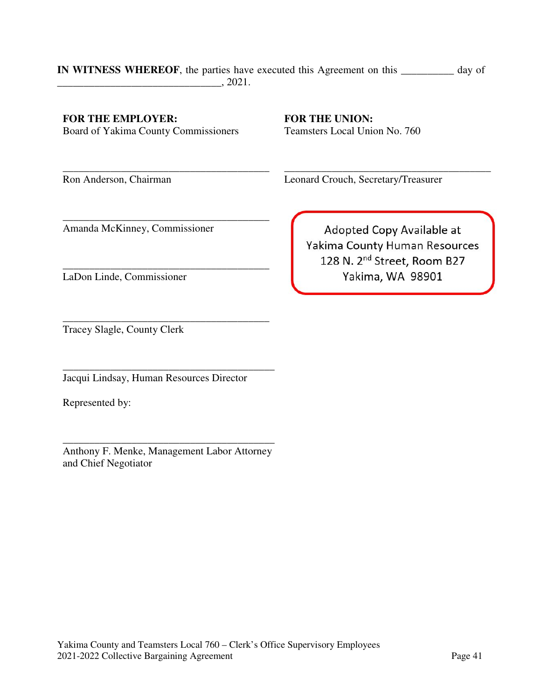#### **IN WITNESS WHEREOF**, the parties have executed this Agreement on this **\_\_\_\_\_\_\_\_\_\_** day of  $, 2021.$

#### **FOR THE EMPLOYER:**

Board of Yakima County Commissioners

\_\_\_\_\_\_\_\_\_\_\_\_\_\_\_\_\_\_\_\_\_\_\_\_\_\_\_\_\_\_\_\_\_\_\_\_\_\_\_

\_\_\_\_\_\_\_\_\_\_\_\_\_\_\_\_\_\_\_\_\_\_\_\_\_\_\_\_\_\_\_\_\_\_\_\_\_\_\_

\_\_\_\_\_\_\_\_\_\_\_\_\_\_\_\_\_\_\_\_\_\_\_\_\_\_\_\_\_\_\_\_\_\_\_\_\_\_\_

Amanda McKinney, Commissioner

**FOR THE UNION:**  Teamsters Local Union No. 760

Ron Anderson, Chairman

\_\_\_\_\_\_\_\_\_\_\_\_\_\_\_\_\_\_\_\_\_\_\_\_\_\_\_\_\_\_\_\_\_\_\_\_\_\_\_ Leonard Crouch, Secretary/Treasurer

Adopted Copy Available at Yakima County Human Resources 128 N. 2<sup>nd</sup> Street, Room B27 Yakima, WA 98901

\_\_\_\_\_\_\_\_\_\_\_\_\_\_\_\_\_\_\_\_\_\_\_\_\_\_\_\_\_\_\_\_\_\_\_\_\_\_\_ Tracey Slagle, County Clerk

LaDon Linde, Commissioner

\_\_\_\_\_\_\_\_\_\_\_\_\_\_\_\_\_\_\_\_\_\_\_\_\_\_\_\_\_\_\_\_\_\_\_\_\_\_\_\_ Jacqui Lindsay, Human Resources Director

Represented by:

\_\_\_\_\_\_\_\_\_\_\_\_\_\_\_\_\_\_\_\_\_\_\_\_\_\_\_\_\_\_\_\_\_\_\_\_\_\_\_\_ Anthony F. Menke, Management Labor Attorney and Chief Negotiator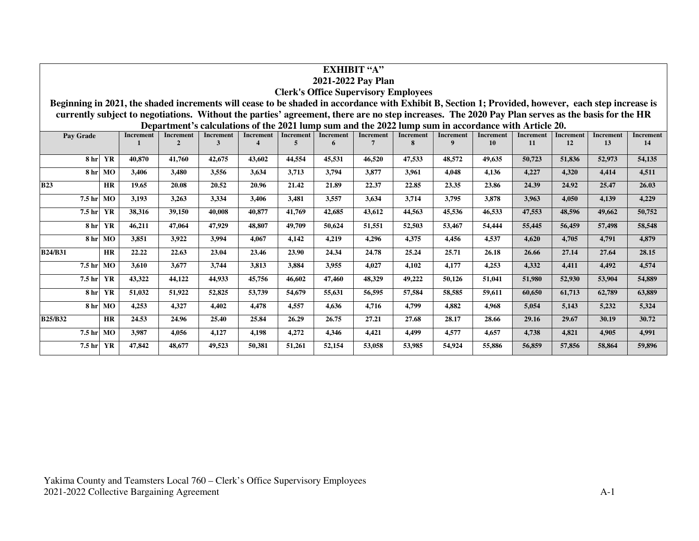| <b>EXHIBIT "A"</b>                                                                                                                                                                                                                                                                                                                                                      |           |        |               |              |                        |        |        |        |        |                  |                  |        |        |        |        |
|-------------------------------------------------------------------------------------------------------------------------------------------------------------------------------------------------------------------------------------------------------------------------------------------------------------------------------------------------------------------------|-----------|--------|---------------|--------------|------------------------|--------|--------|--------|--------|------------------|------------------|--------|--------|--------|--------|
| 2021-2022 Pay Plan                                                                                                                                                                                                                                                                                                                                                      |           |        |               |              |                        |        |        |        |        |                  |                  |        |        |        |        |
| <b>Clerk's Office Supervisory Employees</b>                                                                                                                                                                                                                                                                                                                             |           |        |               |              |                        |        |        |        |        |                  |                  |        |        |        |        |
| Beginning in 2021, the shaded increments will cease to be shaded in accordance with Exhibit B, Section 1; Provided, however, each step increase is                                                                                                                                                                                                                      |           |        |               |              |                        |        |        |        |        |                  |                  |        |        |        |        |
| currently subject to negotiations. Without the parties' agreement, there are no step increases. The 2020 Pay Plan serves as the basis for the HR                                                                                                                                                                                                                        |           |        |               |              |                        |        |        |        |        |                  |                  |        |        |        |        |
| Department's calculations of the 2021 lump sum and the 2022 lump sum in accordance with Article 20.<br><b>Increment</b><br><b>Increment</b><br><b>Increment</b><br><b>Increment</b><br><b>Increment</b><br><b>Increment</b><br><b>Increment</b><br><b>Increment</b><br><b>Increment</b><br><b>Increment</b><br><b>Increment</b><br><b>Increment</b><br><b>Increment</b> |           |        |               |              |                        |        |        |        |        |                  | <b>Increment</b> |        |        |        |        |
| Pay Grade                                                                                                                                                                                                                                                                                                                                                               |           |        | $\mathcal{D}$ | $\mathbf{3}$ | $\boldsymbol{\Lambda}$ | 5      | 6      |        | 8      | $\boldsymbol{q}$ | 10               | 11     | 12     | 13     | 14     |
| 8 hr                                                                                                                                                                                                                                                                                                                                                                    | YR        | 40,870 | 41,760        | 42,675       | 43,602                 | 44.554 | 45.531 | 46,520 | 47,533 | 48.572           | 49,635           | 50,723 | 51,836 | 52,973 | 54,135 |
|                                                                                                                                                                                                                                                                                                                                                                         | 8 hr MO   | 3,406  | 3,480         | 3,556        | 3,634                  | 3,713  | 3,794  | 3,877  | 3,961  | 4,048            | 4,136            | 4,227  | 4,320  | 4,414  | 4,511  |
|                                                                                                                                                                                                                                                                                                                                                                         |           |        |               |              |                        |        |        |        |        |                  |                  |        |        |        |        |
| <b>B23</b>                                                                                                                                                                                                                                                                                                                                                              | <b>HR</b> | 19.65  | 20.08         | 20.52        | 20.96                  | 21.42  | 21.89  | 22.37  | 22.85  | 23.35            | 23.86            | 24.39  | 24.92  | 25.47  | 26.03  |
| 7.5 hr                                                                                                                                                                                                                                                                                                                                                                  | MO        | 3,193  | 3,263         | 3,334        | 3,406                  | 3,481  | 3,557  | 3,634  | 3,714  | 3,795            | 3,878            | 3,963  | 4,050  | 4,139  | 4,229  |
| 7.5 hr                                                                                                                                                                                                                                                                                                                                                                  | YR        | 38,316 | 39,150        | 40,008       | 40,877                 | 41,769 | 42,685 | 43,612 | 44,563 | 45,536           | 46,533           | 47,553 | 48,596 | 49,662 | 50,752 |
| 8 hr                                                                                                                                                                                                                                                                                                                                                                    | YR        | 46,211 | 47,064        | 47,929       | 48.807                 | 49,709 | 50,624 | 51,551 | 52,503 | 53,467           | 54,444           | 55,445 | 56,459 | 57,498 | 58,548 |
|                                                                                                                                                                                                                                                                                                                                                                         | 8 hr MO   | 3,851  | 3,922         | 3,994        | 4.067                  | 4,142  | 4,219  | 4,296  | 4,375  | 4,456            | 4,537            | 4,620  | 4,705  | 4,791  | 4,879  |
| <b>B24/B31</b>                                                                                                                                                                                                                                                                                                                                                          | <b>HR</b> | 22.22  | 22.63         | 23.04        | 23.46                  | 23.90  | 24.34  | 24.78  | 25.24  | 25.71            | 26.18            | 26.66  | 27.14  | 27.64  | 28.15  |
| 7.5 hr                                                                                                                                                                                                                                                                                                                                                                  | MO        | 3.610  | 3,677         | 3,744        | 3,813                  | 3,884  | 3.955  | 4,027  | 4,102  | 4,177            | 4,253            | 4,332  | 4,411  | 4,492  | 4,574  |
| 7.5 hr                                                                                                                                                                                                                                                                                                                                                                  | YR        | 43,322 | 44,122        | 44,933       | 45,756                 | 46.602 | 47,460 | 48,329 | 49,222 | 50,126           | 51,041           | 51,980 | 52,930 | 53,904 | 54,889 |
| 8 hr                                                                                                                                                                                                                                                                                                                                                                    | YR        | 51,032 | 51,922        | 52,825       | 53,739                 | 54,679 | 55,631 | 56,595 | 57,584 | 58,585           | 59,611           | 60,650 | 61,713 | 62,789 | 63,889 |
|                                                                                                                                                                                                                                                                                                                                                                         | 8 hr MO   | 4,253  | 4,327         | 4,402        | 4,478                  | 4,557  | 4,636  | 4,716  | 4,799  | 4,882            | 4,968            | 5,054  | 5,143  | 5,232  | 5,324  |
| <b>B25/B32</b>                                                                                                                                                                                                                                                                                                                                                          | <b>HR</b> | 24.53  | 24.96         | 25.40        | 25.84                  | 26.29  | 26.75  | 27.21  | 27.68  | 28.17            | 28.66            | 29.16  | 29.67  | 30.19  | 30.72  |
| 7.5 hr                                                                                                                                                                                                                                                                                                                                                                  | MO        | 3,987  | 4,056         | 4,127        | 4,198                  | 4,272  | 4,346  | 4,421  | 4,499  | 4,577            | 4,657            | 4,738  | 4,821  | 4,905  | 4,991  |
| 7.5 hr                                                                                                                                                                                                                                                                                                                                                                  | YR        | 47,842 | 48,677        | 49,523       | 50,381                 | 51,261 | 52,154 | 53,058 | 53,985 | 54,924           | 55,886           | 56,859 | 57,856 | 58,864 | 59,896 |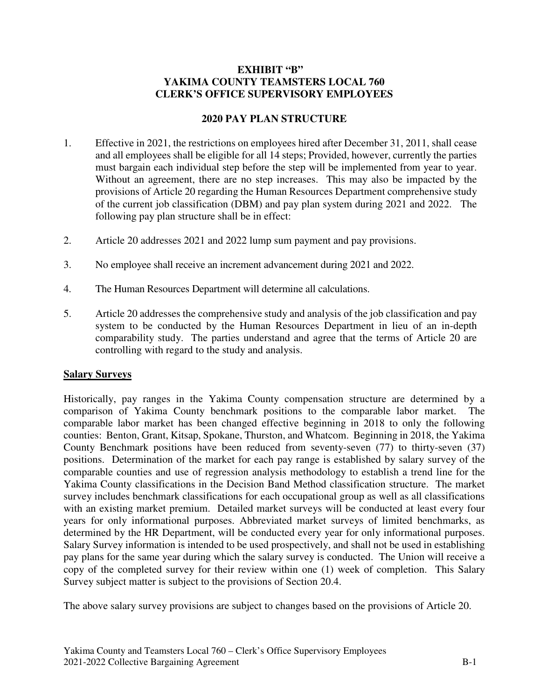#### **EXHIBIT "B" YAKIMA COUNTY TEAMSTERS LOCAL 760 CLERK'S OFFICE SUPERVISORY EMPLOYEES**

#### **2020 PAY PLAN STRUCTURE**

- 1. Effective in 2021, the restrictions on employees hired after December 31, 2011, shall cease and all employees shall be eligible for all 14 steps; Provided, however, currently the parties must bargain each individual step before the step will be implemented from year to year. Without an agreement, there are no step increases. This may also be impacted by the provisions of Article 20 regarding the Human Resources Department comprehensive study of the current job classification (DBM) and pay plan system during 2021 and 2022. The following pay plan structure shall be in effect:
- 2. Article 20 addresses 2021 and 2022 lump sum payment and pay provisions.
- 3. No employee shall receive an increment advancement during 2021 and 2022.
- 4. The Human Resources Department will determine all calculations.
- 5. Article 20 addresses the comprehensive study and analysis of the job classification and pay system to be conducted by the Human Resources Department in lieu of an in-depth comparability study. The parties understand and agree that the terms of Article 20 are controlling with regard to the study and analysis.

#### **Salary Surveys**

Historically, pay ranges in the Yakima County compensation structure are determined by a comparison of Yakima County benchmark positions to the comparable labor market. The comparable labor market has been changed effective beginning in 2018 to only the following counties: Benton, Grant, Kitsap, Spokane, Thurston, and Whatcom. Beginning in 2018, the Yakima County Benchmark positions have been reduced from seventy-seven (77) to thirty-seven (37) positions. Determination of the market for each pay range is established by salary survey of the comparable counties and use of regression analysis methodology to establish a trend line for the Yakima County classifications in the Decision Band Method classification structure. The market survey includes benchmark classifications for each occupational group as well as all classifications with an existing market premium. Detailed market surveys will be conducted at least every four years for only informational purposes. Abbreviated market surveys of limited benchmarks, as determined by the HR Department, will be conducted every year for only informational purposes. Salary Survey information is intended to be used prospectively, and shall not be used in establishing pay plans for the same year during which the salary survey is conducted. The Union will receive a copy of the completed survey for their review within one (1) week of completion. This Salary Survey subject matter is subject to the provisions of Section 20.4.

The above salary survey provisions are subject to changes based on the provisions of Article 20.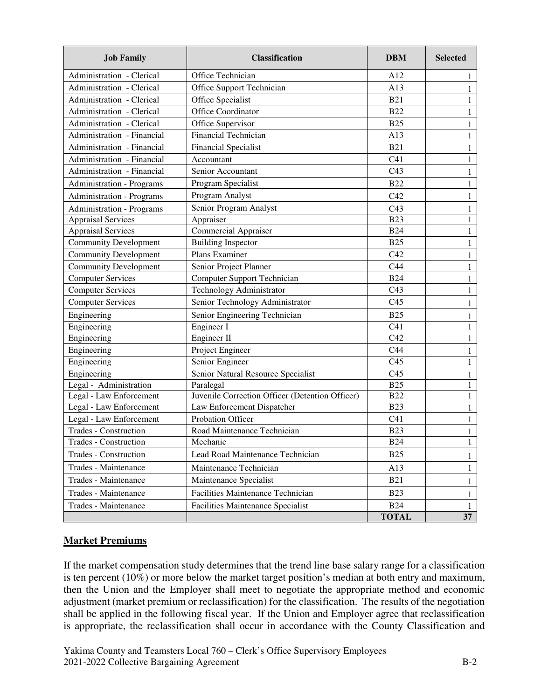| <b>Job Family</b>                | <b>Classification</b>                           | <b>DBM</b>      | <b>Selected</b> |  |
|----------------------------------|-------------------------------------------------|-----------------|-----------------|--|
| Administration - Clerical        | Office Technician                               | A12             | 1               |  |
| Administration - Clerical        | Office Support Technician                       | A13             | $\mathbf{1}$    |  |
| Administration - Clerical        | Office Specialist                               | <b>B21</b>      | 1               |  |
| Administration - Clerical        | Office Coordinator                              | <b>B22</b>      | $\mathbf{1}$    |  |
| Administration - Clerical        | Office Supervisor                               | <b>B25</b>      | 1               |  |
| Administration - Financial       | <b>Financial Technician</b>                     | A13             | $\mathbf{1}$    |  |
| Administration - Financial       | <b>Financial Specialist</b>                     | <b>B21</b>      | $\mathbf{1}$    |  |
| Administration - Financial       | Accountant                                      | C <sub>41</sub> | $\mathbf{1}$    |  |
| Administration - Financial       | Senior Accountant                               | C43             | $\mathbf{1}$    |  |
| <b>Administration - Programs</b> | Program Specialist                              | <b>B22</b>      | 1               |  |
| <b>Administration - Programs</b> | Program Analyst                                 | C42             | $\mathbf{1}$    |  |
| <b>Administration - Programs</b> | Senior Program Analyst                          | C43             | $\mathbf{1}$    |  |
| <b>Appraisal Services</b>        | Appraiser                                       | <b>B23</b>      | $\mathbf{1}$    |  |
| <b>Appraisal Services</b>        | <b>Commercial Appraiser</b>                     | <b>B24</b>      | 1               |  |
| <b>Community Development</b>     | <b>Building Inspector</b>                       | <b>B25</b>      | 1               |  |
| <b>Community Development</b>     | Plans Examiner                                  | C42             | 1               |  |
| <b>Community Development</b>     | Senior Project Planner                          | C44             | $\mathbf{1}$    |  |
| <b>Computer Services</b>         | Computer Support Technician                     | <b>B24</b>      | $\mathbf{1}$    |  |
| <b>Computer Services</b>         | Technology Administrator                        | C43             | 1               |  |
| <b>Computer Services</b>         | Senior Technology Administrator                 | C <sub>45</sub> | 1               |  |
| Engineering                      | Senior Engineering Technician                   | <b>B25</b>      | 1               |  |
| Engineering                      | Engineer I                                      | C <sub>41</sub> | 1               |  |
| Engineering                      | Engineer II                                     | C42             | 1               |  |
| Engineering                      | Project Engineer                                | C44             | 1               |  |
| Engineering                      | Senior Engineer                                 | C <sub>45</sub> | 1               |  |
| Engineering                      | Senior Natural Resource Specialist              | C <sub>45</sub> |                 |  |
| Legal - Administration           | Paralegal                                       | <b>B25</b>      | 1               |  |
| Legal - Law Enforcement          | Juvenile Correction Officer (Detention Officer) | <b>B22</b>      | 1               |  |
| Legal - Law Enforcement          | Law Enforcement Dispatcher                      | <b>B23</b>      | 1               |  |
| Legal - Law Enforcement          | Probation Officer                               | C <sub>41</sub> | 1               |  |
| <b>Trades - Construction</b>     | Road Maintenance Technician                     | <b>B23</b>      | $\mathbf{1}$    |  |
| Trades - Construction            | Mechanic                                        | <b>B24</b>      | $\mathbf{1}$    |  |
| Trades - Construction            | Lead Road Maintenance Technician                | <b>B25</b>      | 1               |  |
| Trades - Maintenance             | Maintenance Technician                          | A13             | 1               |  |
| Trades - Maintenance             | Maintenance Specialist                          | <b>B21</b>      | 1               |  |
| Trades - Maintenance             | Facilities Maintenance Technician               | <b>B23</b>      | 1               |  |
| Trades - Maintenance             | <b>Facilities Maintenance Specialist</b>        | <b>B24</b>      | $\mathbf{1}$    |  |
|                                  |                                                 | <b>TOTAL</b>    | 37              |  |

# **Market Premiums**

If the market compensation study determines that the trend line base salary range for a classification is ten percent (10%) or more below the market target position's median at both entry and maximum, then the Union and the Employer shall meet to negotiate the appropriate method and economic adjustment (market premium or reclassification) for the classification. The results of the negotiation shall be applied in the following fiscal year. If the Union and Employer agree that reclassification is appropriate, the reclassification shall occur in accordance with the County Classification and